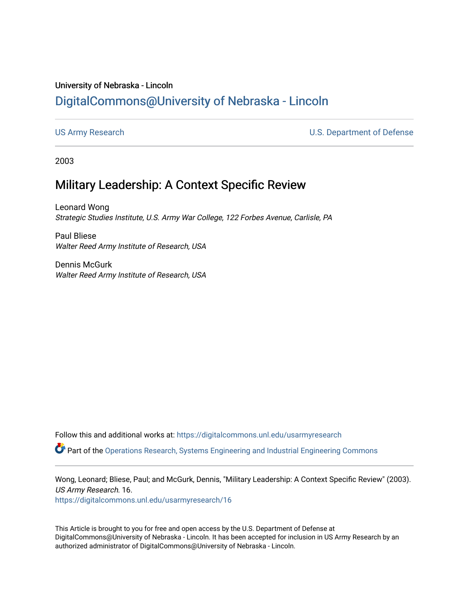# University of Nebraska - Lincoln [DigitalCommons@University of Nebraska - Lincoln](https://digitalcommons.unl.edu/)

[US Army Research](https://digitalcommons.unl.edu/usarmyresearch) [U.S. Department of Defense](https://digitalcommons.unl.edu/usdeptdefense) 

2003

# Military Leadership: A Context Specific Review

Leonard Wong Strategic Studies Institute, U.S. Army War College, 122 Forbes Avenue, Carlisle, PA

Paul Bliese Walter Reed Army Institute of Research, USA

Dennis McGurk Walter Reed Army Institute of Research, USA

Follow this and additional works at: [https://digitalcommons.unl.edu/usarmyresearch](https://digitalcommons.unl.edu/usarmyresearch?utm_source=digitalcommons.unl.edu%2Fusarmyresearch%2F16&utm_medium=PDF&utm_campaign=PDFCoverPages)

Part of the [Operations Research, Systems Engineering and Industrial Engineering Commons](http://network.bepress.com/hgg/discipline/305?utm_source=digitalcommons.unl.edu%2Fusarmyresearch%2F16&utm_medium=PDF&utm_campaign=PDFCoverPages)

Wong, Leonard; Bliese, Paul; and McGurk, Dennis, "Military Leadership: A Context Specific Review" (2003). US Army Research. 16.

[https://digitalcommons.unl.edu/usarmyresearch/16](https://digitalcommons.unl.edu/usarmyresearch/16?utm_source=digitalcommons.unl.edu%2Fusarmyresearch%2F16&utm_medium=PDF&utm_campaign=PDFCoverPages) 

This Article is brought to you for free and open access by the U.S. Department of Defense at DigitalCommons@University of Nebraska - Lincoln. It has been accepted for inclusion in US Army Research by an authorized administrator of DigitalCommons@University of Nebraska - Lincoln.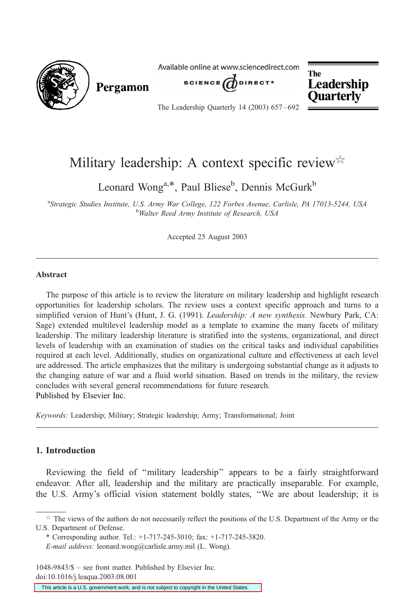

The Leadership Quarterly 14 (2003) 657 – 692

# Military leadership: A context specific review  $\mathbb{R}^2$

Leonard Wong<sup>a,\*</sup>, Paul Bliese<sup>b</sup>, Dennis McGurk<sup>b</sup>

<sup>a</sup>Strategic Studies Institute, U.S. Army War College, 122 Forbes Avenue, Carlisle, PA 17013-5244, USA<br>bWalter Road Army Institute of Research USA Walter Reed Army Institute of Research, USA

Accepted 25 August 2003

#### Abstract

The purpose of this article is to review the literature on military leadership and highlight research opportunities for leadership scholars. The review uses a context specific approach and turns to a simplified version of Hunt's (Hunt, J. G. (1991). Leadership: A new synthesis. Newbury Park, CA: Sage) extended multilevel leadership model as a template to examine the many facets of military leadership. The military leadership literature is stratified into the systems, organizational, and direct levels of leadership with an examination of studies on the critical tasks and individual capabilities required at each level. Additionally, studies on organizational culture and effectiveness at each level are addressed. The article emphasizes that the military is undergoing substantial change as it adjusts to the changing nature of war and a fluid world situation. Based on trends in the military, the review concludes with several general recommendations for future research. Published by Elsevier Inc.

Keywords: Leadership; Military; Strategic leadership; Army; Transformational; Joint

# 1. Introduction

Reviewing the field of ''military leadership'' appears to be a fairly straightforward endeavor. After all, leadership and the military are practically inseparable. For example, the U.S. Army's official vision statement boldly states, ''We are about leadership; it is

\* Corresponding author. Tel.: +1-717-245-3010; fax: +1-717-245-3820.

E-mail address: leonard.wong@carlisle.army.mil (L. Wong).

1048-9843/\$ – see front matter. Published by Elsevier Inc. doi:10.1016/j.leaqua.2003.08.001

 $\dot{\tau}$  The views of the authors do not necessarily reflect the positions of the U.S. Department of the Army or the U.S. Department of Defense.

This article is a U.S. government work, and is not subject to copyright in the United States.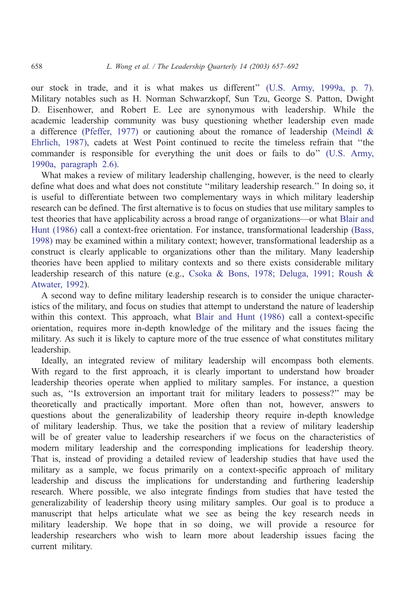our stock in trade, and it is what makes us different'' [\(U.S. Army, 1999a, p. 7\).](#page-36-0) Military notables such as H. Norman Schwarzkopf, Sun Tzu, George S. Patton, Dwight D. Eisenhower, and Robert E. Lee are synonymous with leadership. While the academic leadership community was busy questioning whether leadership even made a difference [\(Pfeffer, 1977\)](#page-35-0) or cautioning about the romance of leadership [\(Meindl &](#page-34-0) Ehrlich, 1987), cadets at West Point continued to recite the timeless refrain that ''the commander is responsible for everything the unit does or fails to do'' [\(U.S. Army,](#page-35-0) 1990a, paragraph 2.6).

What makes a review of military leadership challenging, however, is the need to clearly define what does and what does not constitute ''military leadership research.'' In doing so, it is useful to differentiate between two complementary ways in which military leadership research can be defined. The first alternative is to focus on studies that use military samples to test theories that have applicability across a broad range of organizations—or what [Blair and](#page-31-0) Hunt (1986) call a context-free orientation. For instance, transformational leadership [\(Bass,](#page-31-0) 1998) may be examined within a military context; however, transformational leadership as a construct is clearly applicable to organizations other than the military. Many leadership theories have been applied to military contexts and so there exists considerable military leadership research of this nature (e.g., [Csoka & Bons, 1978; Deluga, 1991; Roush &](#page-32-0) Atwater, 1992).

A second way to define military leadership research is to consider the unique characteristics of the military, and focus on studies that attempt to understand the nature of leadership within this context. This approach, what [Blair and Hunt \(1986\)](#page-31-0) call a context-specific orientation, requires more in-depth knowledge of the military and the issues facing the military. As such it is likely to capture more of the true essence of what constitutes military leadership.

Ideally, an integrated review of military leadership will encompass both elements. With regard to the first approach, it is clearly important to understand how broader leadership theories operate when applied to military samples. For instance, a question such as, ''Is extroversion an important trait for military leaders to possess?'' may be theoretically and practically important. More often than not, however, answers to questions about the generalizability of leadership theory require in-depth knowledge of military leadership. Thus, we take the position that a review of military leadership will be of greater value to leadership researchers if we focus on the characteristics of modern military leadership and the corresponding implications for leadership theory. That is, instead of providing a detailed review of leadership studies that have used the military as a sample, we focus primarily on a context-specific approach of military leadership and discuss the implications for understanding and furthering leadership research. Where possible, we also integrate findings from studies that have tested the generalizability of leadership theory using military samples. Our goal is to produce a manuscript that helps articulate what we see as being the key research needs in military leadership. We hope that in so doing, we will provide a resource for leadership researchers who wish to learn more about leadership issues facing the current military.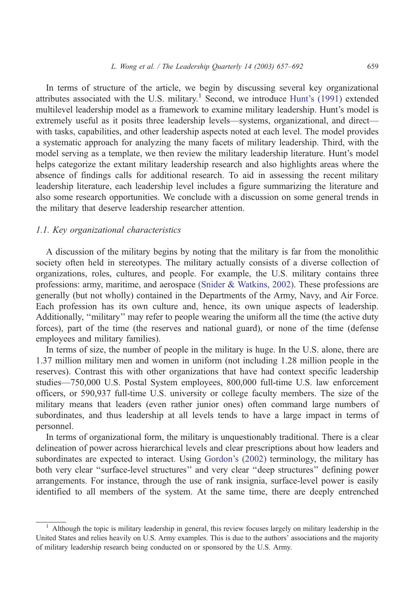In terms of structure of the article, we begin by discussing several key organizational attributes associated with the U.S. military.<sup>1</sup> Second, we introduce Hunt's  $(1991)$  extended multilevel leadership model as a framework to examine military leadership. Hunt's model is extremely useful as it posits three leadership levels—systems, organizational, and direct with tasks, capabilities, and other leadership aspects noted at each level. The model provides a systematic approach for analyzing the many facets of military leadership. Third, with the model serving as a template, we then review the military leadership literature. Hunt's model helps categorize the extant military leadership research and also highlights areas where the absence of findings calls for additional research. To aid in assessing the recent military leadership literature, each leadership level includes a figure summarizing the literature and also some research opportunities. We conclude with a discussion on some general trends in the military that deserve leadership researcher attention.

#### 1.1. Key organizational characteristics

A discussion of the military begins by noting that the military is far from the monolithic society often held in stereotypes. The military actually consists of a diverse collection of organizations, roles, cultures, and people. For example, the U.S. military contains three professions: army, maritime, and aerospace [\(Snider & Watkins, 2002\).](#page-35-0) These professions are generally (but not wholly) contained in the Departments of the Army, Navy, and Air Force. Each profession has its own culture and, hence, its own unique aspects of leadership. Additionally, ''military'' may refer to people wearing the uniform all the time (the active duty forces), part of the time (the reserves and national guard), or none of the time (defense employees and military families).

In terms of size, the number of people in the military is huge. In the U.S. alone, there are 1.37 million military men and women in uniform (not including 1.28 million people in the reserves). Contrast this with other organizations that have had context specific leadership studies—750,000 U.S. Postal System employees, 800,000 full-time U.S. law enforcement officers, or 590,937 full-time U.S. university or college faculty members. The size of the military means that leaders (even rather junior ones) often command large numbers of subordinates, and thus leadership at all levels tends to have a large impact in terms of personnel.

In terms of organizational form, the military is unquestionably traditional. There is a clear delineation of power across hierarchical levels and clear prescriptions about how leaders and subordinates are expected to interact. Using [Gordon's \(2002\)](#page-32-0) terminology, the military has both very clear ''surface-level structures'' and very clear ''deep structures'' defining power arrangements. For instance, through the use of rank insignia, surface-level power is easily identified to all members of the system. At the same time, there are deeply entrenched

<sup>&</sup>lt;sup>1</sup> Although the topic is military leadership in general, this review focuses largely on military leadership in the United States and relies heavily on U.S. Army examples. This is due to the authors' associations and the majority of military leadership research being conducted on or sponsored by the U.S. Army.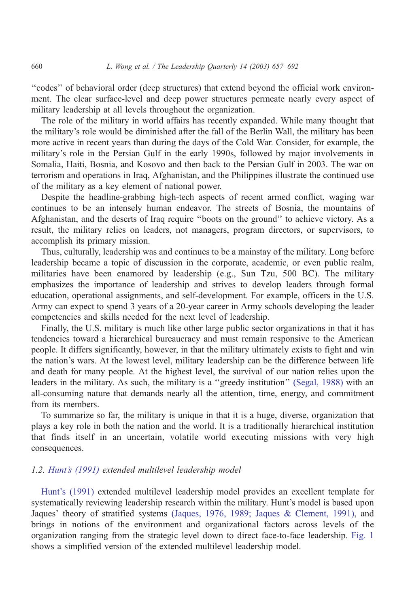''codes'' of behavioral order (deep structures) that extend beyond the official work environment. The clear surface-level and deep power structures permeate nearly every aspect of military leadership at all levels throughout the organization.

The role of the military in world affairs has recently expanded. While many thought that the military's role would be diminished after the fall of the Berlin Wall, the military has been more active in recent years than during the days of the Cold War. Consider, for example, the military's role in the Persian Gulf in the early 1990s, followed by major involvements in Somalia, Haiti, Bosnia, and Kosovo and then back to the Persian Gulf in 2003. The war on terrorism and operations in Iraq, Afghanistan, and the Philippines illustrate the continued use of the military as a key element of national power.

Despite the headline-grabbing high-tech aspects of recent armed conflict, waging war continues to be an intensely human endeavor. The streets of Bosnia, the mountains of Afghanistan, and the deserts of Iraq require ''boots on the ground'' to achieve victory. As a result, the military relies on leaders, not managers, program directors, or supervisors, to accomplish its primary mission.

Thus, culturally, leadership was and continues to be a mainstay of the military. Long before leadership became a topic of discussion in the corporate, academic, or even public realm, militaries have been enamored by leadership (e.g., Sun Tzu, 500 BC). The military emphasizes the importance of leadership and strives to develop leaders through formal education, operational assignments, and self-development. For example, officers in the U.S. Army can expect to spend 3 years of a 20-year career in Army schools developing the leader competencies and skills needed for the next level of leadership.

Finally, the U.S. military is much like other large public sector organizations in that it has tendencies toward a hierarchical bureaucracy and must remain responsive to the American people. It differs significantly, however, in that the military ultimately exists to fight and win the nation's wars. At the lowest level, military leadership can be the difference between life and death for many people. At the highest level, the survival of our nation relies upon the leaders in the military. As such, the military is a ''greedy institution'' [\(Segal, 1988\)](#page-35-0) with an all-consuming nature that demands nearly all the attention, time, energy, and commitment from its members.

To summarize so far, the military is unique in that it is a huge, diverse, organization that plays a key role in both the nation and the world. It is a traditionally hierarchical institution that finds itself in an uncertain, volatile world executing missions with very high consequences.

# 1.2. [Hunt's \(1991\)](#page-33-0) extended multilevel leadership model

[Hunt's \(1991\)](#page-33-0) extended multilevel leadership model provides an excellent template for systematically reviewing leadership research within the military. Hunt's model is based upon Jaques' theory of stratified systems [\(Jaques, 1976, 1989; Jaques & Clement, 1991\),](#page-33-0) and brings in notions of the environment and organizational factors across levels of the organization ranging from the strategic level down to direct face-to-face leadership. [Fig. 1](#page-5-0) shows a simplified version of the extended multilevel leadership model.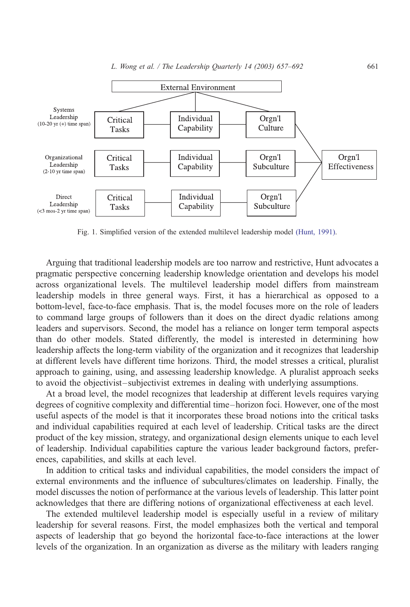<span id="page-5-0"></span>

Fig. 1. Simplified version of the extended multilevel leadership model [\(Hunt, 1991\).](#page-33-0)

Arguing that traditional leadership models are too narrow and restrictive, Hunt advocates a pragmatic perspective concerning leadership knowledge orientation and develops his model across organizational levels. The multilevel leadership model differs from mainstream leadership models in three general ways. First, it has a hierarchical as opposed to a bottom-level, face-to-face emphasis. That is, the model focuses more on the role of leaders to command large groups of followers than it does on the direct dyadic relations among leaders and supervisors. Second, the model has a reliance on longer term temporal aspects than do other models. Stated differently, the model is interested in determining how leadership affects the long-term viability of the organization and it recognizes that leadership at different levels have different time horizons. Third, the model stresses a critical, pluralist approach to gaining, using, and assessing leadership knowledge. A pluralist approach seeks to avoid the objectivist–subjectivist extremes in dealing with underlying assumptions.

At a broad level, the model recognizes that leadership at different levels requires varying degrees of cognitive complexity and differential time–horizon foci. However, one of the most useful aspects of the model is that it incorporates these broad notions into the critical tasks and individual capabilities required at each level of leadership. Critical tasks are the direct product of the key mission, strategy, and organizational design elements unique to each level of leadership. Individual capabilities capture the various leader background factors, preferences, capabilities, and skills at each level.

In addition to critical tasks and individual capabilities, the model considers the impact of external environments and the influence of subcultures/climates on leadership. Finally, the model discusses the notion of performance at the various levels of leadership. This latter point acknowledges that there are differing notions of organizational effectiveness at each level.

The extended multilevel leadership model is especially useful in a review of military leadership for several reasons. First, the model emphasizes both the vertical and temporal aspects of leadership that go beyond the horizontal face-to-face interactions at the lower levels of the organization. In an organization as diverse as the military with leaders ranging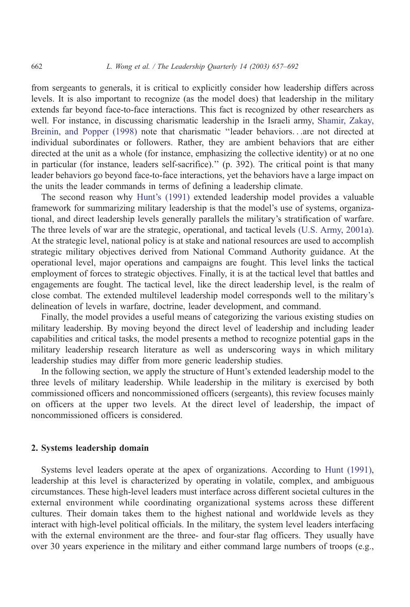from sergeants to generals, it is critical to explicitly consider how leadership differs across levels. It is also important to recognize (as the model does) that leadership in the military extends far beyond face-to-face interactions. This fact is recognized by other researchers as well. For instance, in discussing charismatic leadership in the Israeli army, [Shamir, Zakay,](#page-35-0) Breinin, and Popper (1998) note that charismatic ''leader behaviors...are not directed at individual subordinates or followers. Rather, they are ambient behaviors that are either directed at the unit as a whole (for instance, emphasizing the collective identity) or at no one in particular (for instance, leaders self-sacrifice).'' (p. 392). The critical point is that many leader behaviors go beyond face-to-face interactions, yet the behaviors have a large impact on the units the leader commands in terms of defining a leadership climate.

The second reason why [Hunt's \(1991\)](#page-33-0) extended leadership model provides a valuable framework for summarizing military leadership is that the model's use of systems, organizational, and direct leadership levels generally parallels the military's stratification of warfare. The three levels of war are the strategic, operational, and tactical levels [\(U.S. Army, 2001a\).](#page-36-0) At the strategic level, national policy is at stake and national resources are used to accomplish strategic military objectives derived from National Command Authority guidance. At the operational level, major operations and campaigns are fought. This level links the tactical employment of forces to strategic objectives. Finally, it is at the tactical level that battles and engagements are fought. The tactical level, like the direct leadership level, is the realm of close combat. The extended multilevel leadership model corresponds well to the military's delineation of levels in warfare, doctrine, leader development, and command.

Finally, the model provides a useful means of categorizing the various existing studies on military leadership. By moving beyond the direct level of leadership and including leader capabilities and critical tasks, the model presents a method to recognize potential gaps in the military leadership research literature as well as underscoring ways in which military leadership studies may differ from more generic leadership studies.

In the following section, we apply the structure of Hunt's extended leadership model to the three levels of military leadership. While leadership in the military is exercised by both commissioned officers and noncommissioned officers (sergeants), this review focuses mainly on officers at the upper two levels. At the direct level of leadership, the impact of noncommissioned officers is considered.

#### 2. Systems leadership domain

Systems level leaders operate at the apex of organizations. According to [Hunt \(1991\),](#page-33-0) leadership at this level is characterized by operating in volatile, complex, and ambiguous circumstances. These high-level leaders must interface across different societal cultures in the external environment while coordinating organizational systems across these different cultures. Their domain takes them to the highest national and worldwide levels as they interact with high-level political officials. In the military, the system level leaders interfacing with the external environment are the three- and four-star flag officers. They usually have over 30 years experience in the military and either command large numbers of troops (e.g.,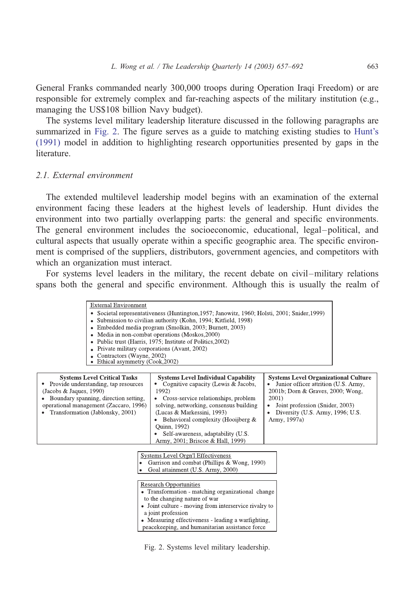General Franks commanded nearly 300,000 troops during Operation Iraqi Freedom) or are responsible for extremely complex and far-reaching aspects of the military institution (e.g., managing the US\$108 billion Navy budget).

The systems level military leadership literature discussed in the following paragraphs are summarized in Fig. 2. The figure serves as a guide to matching existing studies to [Hunt's](#page-33-0) (1991) model in addition to highlighting research opportunities presented by gaps in the literature.

# 2.1. External environment

The extended multilevel leadership model begins with an examination of the external environment facing these leaders at the highest levels of leadership. Hunt divides the environment into two partially overlapping parts: the general and specific environments. The general environment includes the socioeconomic, educational, legal–political, and cultural aspects that usually operate within a specific geographic area. The specific environment is comprised of the suppliers, distributors, government agencies, and competitors with which an organization must interact.

For systems level leaders in the military, the recent debate on civil–military relations spans both the general and specific environment. Although this is usually the realm of

| <b>External Environment</b><br>٠<br>Contractors (Wayne, 2002)<br>Ethical asymmetry (Cook,2002)                                                                                                                                       | • Societal representativeness (Huntington, 1957; Janowitz, 1960; Holsti, 2001; Snider, 1999)<br>Submission to civilian authority (Kohn, 1994; Kitfield, 1998)<br>Embedded media program (Smolkin, 2003; Burnett, 2003)<br>Media in non-combat operations (Moskos, 2000)<br>Public trust (Harris, 1975; Institute of Politics, 2002)<br>Private military corporations (Avant, 2002)                                                    |                                                                                                                                                                                                                                 |
|--------------------------------------------------------------------------------------------------------------------------------------------------------------------------------------------------------------------------------------|---------------------------------------------------------------------------------------------------------------------------------------------------------------------------------------------------------------------------------------------------------------------------------------------------------------------------------------------------------------------------------------------------------------------------------------|---------------------------------------------------------------------------------------------------------------------------------------------------------------------------------------------------------------------------------|
| <b>Systems Level Critical Tasks</b><br>• Provide understanding, tap resources<br>(Jacobs & Jaques, $1990$ )<br>• Boundary spanning, direction setting,<br>operational management (Zaccaro, 1996)<br>Transformation (Jablonsky, 2001) | <b>Systems Level Individual Capability</b><br>• Cognitive capacity (Lewis & Jacobs,<br>1992)<br>Cross-service relationships, problem<br>solving, networking, consensus building<br>(Lucas & Markessini, 1993)<br>Behavioral complexity (Hooijberg &<br><b>Ouinn</b> , 1992)<br>Self-awareness, adaptability (U.S.<br>Army, 2001; Briscoe & Hall, 1999)                                                                                | <b>Systems Level Organizational Culture</b><br>• Junior officer attrition (U.S. Army,<br>2001b; Dorn & Graves, 2000; Wong,<br>2001)<br>Joint profession (Snider, 2003)<br>٠<br>Diversity (U.S. Army, 1996; U.S.<br>Army, 1997a) |
|                                                                                                                                                                                                                                      | Systems Level Orgn'l Effectiveness<br>Garrison and combat (Phillips & Wong, 1990)<br>Goal attainment (U.S. Army, 2000)<br><b>Research Opportunities</b><br>• Transformation - matching organizational change<br>to the changing nature of war<br>• Joint culture - moving from interservice rivalry to<br>a joint profession<br>• Measuring effectiveness - leading a warfighting,<br>neacekeening, and humanitarian assistance force |                                                                                                                                                                                                                                 |

Fig. 2. Systems level military leadership.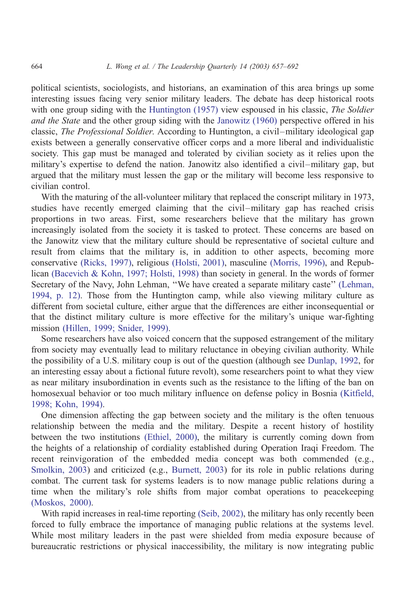political scientists, sociologists, and historians, an examination of this area brings up some interesting issues facing very senior military leaders. The debate has deep historical roots with one group siding with the [Huntington \(1957\)](#page-33-0) view espoused in his classic, The Soldier and the State and the other group siding with the [Janowitz \(1960\)](#page-33-0) perspective offered in his classic, The Professional Soldier. According to Huntington, a civil–military ideological gap exists between a generally conservative officer corps and a more liberal and individualistic society. This gap must be managed and tolerated by civilian society as it relies upon the military's expertise to defend the nation. Janowitz also identified a civil–military gap, but argued that the military must lessen the gap or the military will become less responsive to civilian control.

With the maturing of the all-volunteer military that replaced the conscript military in 1973, studies have recently emerged claiming that the civil–military gap has reached crisis proportions in two areas. First, some researchers believe that the military has grown increasingly isolated from the society it is tasked to protect. These concerns are based on the Janowitz view that the military culture should be representative of societal culture and result from claims that the military is, in addition to other aspects, becoming more conservative [\(Ricks, 1997\),](#page-35-0) religious [\(Holsti, 2001\),](#page-33-0) masculine [\(Morris, 1996\),](#page-34-0) and Republican [\(Bacevich & Kohn, 1997; Holsti, 1998\)](#page-31-0) than society in general. In the words of former Secretary of the Navy, John Lehman, ''We have created a separate military caste'' [\(Lehman,](#page-34-0) 1994, p. 12). Those from the Huntington camp, while also viewing military culture as different from societal culture, either argue that the differences are either inconsequential or that the distinct military culture is more effective for the military's unique war-fighting mission [\(Hillen, 1999; Snider, 1999\).](#page-32-0)

Some researchers have also voiced concern that the supposed estrangement of the military from society may eventually lead to military reluctance in obeying civilian authority. While the possibility of a U.S. military coup is out of the question (although see [Dunlap, 1992,](#page-32-0) for an interesting essay about a fictional future revolt), some researchers point to what they view as near military insubordination in events such as the resistance to the lifting of the ban on homosexual behavior or too much military influence on defense policy in Bosnia [\(Kitfield,](#page-34-0) 1998; Kohn, 1994).

One dimension affecting the gap between society and the military is the often tenuous relationship between the media and the military. Despite a recent history of hostility between the two institutions [\(Ethiel, 2000\),](#page-32-0) the military is currently coming down from the heights of a relationship of cordiality established during Operation Iraqi Freedom. The recent reinvigoration of the embedded media concept was both commended (e.g., [Smolkin, 2003\)](#page-35-0) and criticized (e.g., [Burnett, 2003\)](#page-31-0) for its role in public relations during combat. The current task for systems leaders is to now manage public relations during a time when the military's role shifts from major combat operations to peacekeeping [\(Moskos, 2000\)](#page-34-0).

With rapid increases in real-time reporting [\(Seib, 2002\),](#page-35-0) the military has only recently been forced to fully embrace the importance of managing public relations at the systems level. While most military leaders in the past were shielded from media exposure because of bureaucratic restrictions or physical inaccessibility, the military is now integrating public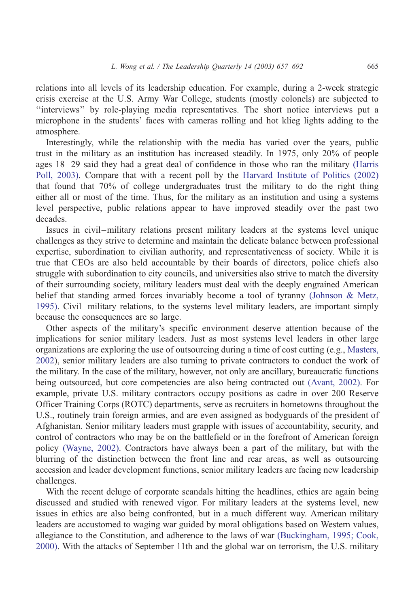relations into all levels of its leadership education. For example, during a 2-week strategic crisis exercise at the U.S. Army War College, students (mostly colonels) are subjected to ''interviews'' by role-playing media representatives. The short notice interviews put a microphone in the students' faces with cameras rolling and hot klieg lights adding to the atmosphere.

Interestingly, while the relationship with the media has varied over the years, public trust in the military as an institution has increased steadily. In 1975, only 20% of people ages 18–29 said they had a great deal of confidence in those who ran the military [\(Harris](#page-32-0) Poll, 2003). Compare that with a recent poll by the [Harvard Institute of Politics \(2002\)](#page-33-0) that found that 70% of college undergraduates trust the military to do the right thing either all or most of the time. Thus, for the military as an institution and using a systems level perspective, public relations appear to have improved steadily over the past two decades.

Issues in civil–military relations present military leaders at the systems level unique challenges as they strive to determine and maintain the delicate balance between professional expertise, subordination to civilian authority, and representativeness of society. While it is true that CEOs are also held accountable by their boards of directors, police chiefs also struggle with subordination to city councils, and universities also strive to match the diversity of their surrounding society, military leaders must deal with the deeply engrained American belief that standing armed forces invariably become a tool of tyranny [\(Johnson & Metz,](#page-33-0) 1995). Civil–military relations, to the systems level military leaders, are important simply because the consequences are so large.

Other aspects of the military's specific environment deserve attention because of the implications for senior military leaders. Just as most systems level leaders in other large organizations are exploring the use of outsourcing during a time of cost cutting (e.g., [Masters,](#page-34-0) 2002), senior military leaders are also turning to private contractors to conduct the work of the military. In the case of the military, however, not only are ancillary, bureaucratic functions being outsourced, but core competencies are also being contracted out [\(Avant, 2002\).](#page-30-0) For example, private U.S. military contractors occupy positions as cadre in over 200 Reserve Officer Training Corps (ROTC) departments, serve as recruiters in hometowns throughout the U.S., routinely train foreign armies, and are even assigned as bodyguards of the president of Afghanistan. Senior military leaders must grapple with issues of accountability, security, and control of contractors who may be on the battlefield or in the forefront of American foreign policy [\(Wayne, 2002\).](#page-36-0) Contractors have always been a part of the military, but with the blurring of the distinction between the front line and rear areas, as well as outsourcing accession and leader development functions, senior military leaders are facing new leadership challenges.

With the recent deluge of corporate scandals hitting the headlines, ethics are again being discussed and studied with renewed vigor. For military leaders at the systems level, new issues in ethics are also being confronted, but in a much different way. American military leaders are accustomed to waging war guided by moral obligations based on Western values, allegiance to the Constitution, and adherence to the laws of war [\(Buckingham, 1995; Cook,](#page-31-0) 2000). With the attacks of September 11th and the global war on terrorism, the U.S. military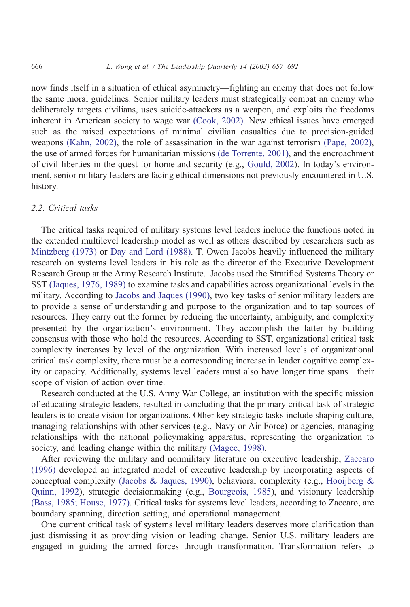now finds itself in a situation of ethical asymmetry—fighting an enemy that does not follow the same moral guidelines. Senior military leaders must strategically combat an enemy who deliberately targets civilians, uses suicide-attackers as a weapon, and exploits the freedoms inherent in American society to wage war [\(Cook, 2002\).](#page-32-0) New ethical issues have emerged such as the raised expectations of minimal civilian casualties due to precision-guided weapons [\(Kahn, 2002\),](#page-33-0) the role of assassination in the war against terrorism [\(Pape, 2002\),](#page-34-0) the use of armed forces for humanitarian missions [\(de Torrente, 2001\),](#page-32-0) and the encroachment of civil liberties in the quest for homeland security (e.g., [Gould, 2002\)](#page-32-0). In today's environment, senior military leaders are facing ethical dimensions not previously encountered in U.S. history.

#### 2.2. Critical tasks

The critical tasks required of military systems level leaders include the functions noted in the extended multilevel leadership model as well as others described by researchers such as [Mintzberg \(1973\)](#page-34-0) or [Day and Lord \(1988\).](#page-32-0) T. Owen Jacobs heavily influenced the military research on systems level leaders in his role as the director of the Executive Development Research Group at the Army Research Institute. Jacobs used the Stratified Systems Theory or SST [\(Jaques, 1976, 1989\)](#page-33-0) to examine tasks and capabilities across organizational levels in the military. According to [Jacobs and Jaques \(1990\),](#page-33-0) two key tasks of senior military leaders are to provide a sense of understanding and purpose to the organization and to tap sources of resources. They carry out the former by reducing the uncertainty, ambiguity, and complexity presented by the organization's environment. They accomplish the latter by building consensus with those who hold the resources. According to SST, organizational critical task complexity increases by level of the organization. With increased levels of organizational critical task complexity, there must be a corresponding increase in leader cognitive complexity or capacity. Additionally, systems level leaders must also have longer time spans—their scope of vision of action over time.

Research conducted at the U.S. Army War College, an institution with the specific mission of educating strategic leaders, resulted in concluding that the primary critical task of strategic leaders is to create vision for organizations. Other key strategic tasks include shaping culture, managing relationships with other services (e.g., Navy or Air Force) or agencies, managing relationships with the national policymaking apparatus, representing the organization to society, and leading change within the military [\(Magee, 1998\).](#page-34-0)

After reviewing the military and nonmilitary literature on executive leadership, [Zaccaro](#page-36-0) (1996) developed an integrated model of executive leadership by incorporating aspects of conceptual complexity [\(Jacobs & Jaques, 1990\),](#page-33-0) behavioral complexity (e.g., [Hooijberg &](#page-33-0) Quinn, 1992), strategic decisionmaking (e.g., [Bourgeois, 1985\)](#page-31-0), and visionary leadership [\(Bass, 1985; House, 1977\).](#page-31-0) Critical tasks for systems level leaders, according to Zaccaro, are boundary spanning, direction setting, and operational management.

One current critical task of systems level military leaders deserves more clarification than just dismissing it as providing vision or leading change. Senior U.S. military leaders are engaged in guiding the armed forces through transformation. Transformation refers to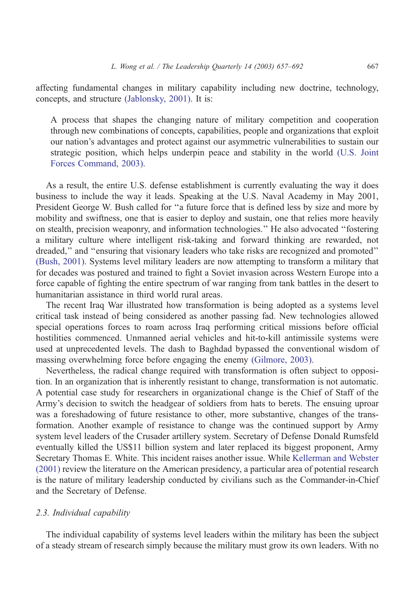affecting fundamental changes in military capability including new doctrine, technology, concepts, and structure [\(Jablonsky, 2001\).](#page-33-0) It is:

A process that shapes the changing nature of military competition and cooperation through new combinations of concepts, capabilities, people and organizations that exploit our nation's advantages and protect against our asymmetric vulnerabilities to sustain our strategic position, which helps underpin peace and stability in the world [\(U.S. Joint](#page-36-0) Forces Command, 2003).

As a result, the entire U.S. defense establishment is currently evaluating the way it does business to include the way it leads. Speaking at the U.S. Naval Academy in May 2001, President George W. Bush called for ''a future force that is defined less by size and more by mobility and swiftness, one that is easier to deploy and sustain, one that relies more heavily on stealth, precision weaponry, and information technologies.'' He also advocated ''fostering a military culture where intelligent risk-taking and forward thinking are rewarded, not dreaded,'' and ''ensuring that visionary leaders who take risks are recognized and promoted'' [\(Bush, 2001\)](#page-31-0). Systems level military leaders are now attempting to transform a military that for decades was postured and trained to fight a Soviet invasion across Western Europe into a force capable of fighting the entire spectrum of war ranging from tank battles in the desert to humanitarian assistance in third world rural areas.

The recent Iraq War illustrated how transformation is being adopted as a systems level critical task instead of being considered as another passing fad. New technologies allowed special operations forces to roam across Iraq performing critical missions before official hostilities commenced. Unmanned aerial vehicles and hit-to-kill antimissile systems were used at unprecedented levels. The dash to Baghdad bypassed the conventional wisdom of massing overwhelming force before engaging the enemy [\(Gilmore, 2003\).](#page-32-0)

Nevertheless, the radical change required with transformation is often subject to opposition. In an organization that is inherently resistant to change, transformation is not automatic. A potential case study for researchers in organizational change is the Chief of Staff of the Army's decision to switch the headgear of soldiers from hats to berets. The ensuing uproar was a foreshadowing of future resistance to other, more substantive, changes of the transformation. Another example of resistance to change was the continued support by Army system level leaders of the Crusader artillery system. Secretary of Defense Donald Rumsfeld eventually killed the US\$11 billion system and later replaced its biggest proponent, Army Secretary Thomas E. White. This incident raises another issue. While [Kellerman and Webster](#page-34-0) (2001) review the literature on the American presidency, a particular area of potential research is the nature of military leadership conducted by civilians such as the Commander-in-Chief and the Secretary of Defense.

## 2.3. Individual capability

The individual capability of systems level leaders within the military has been the subject of a steady stream of research simply because the military must grow its own leaders. With no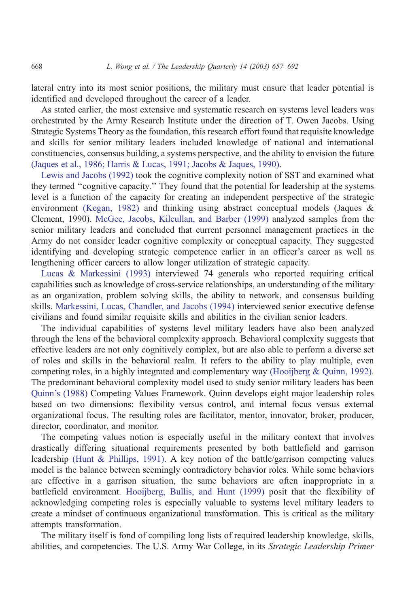lateral entry into its most senior positions, the military must ensure that leader potential is identified and developed throughout the career of a leader.

As stated earlier, the most extensive and systematic research on systems level leaders was orchestrated by the Army Research Institute under the direction of T. Owen Jacobs. Using Strategic Systems Theory as the foundation, this research effort found that requisite knowledge and skills for senior military leaders included knowledge of national and international constituencies, consensus building, a systems perspective, and the ability to envision the future [\(Jaques et al., 1986; Harris & Lucas, 1991; Jacobs & Jaques, 1990\).](#page-33-0)

[Lewis and Jacobs \(1992\)](#page-34-0) took the cognitive complexity notion of SST and examined what they termed ''cognitive capacity.'' They found that the potential for leadership at the systems level is a function of the capacity for creating an independent perspective of the strategic environment [\(Kegan, 1982\)](#page-33-0) and thinking using abstract conceptual models (Jaques  $\&$ Clement, 1990). [McGee, Jacobs, Kilcullan, and Barber \(1999\)](#page-34-0) analyzed samples from the senior military leaders and concluded that current personnel management practices in the Army do not consider leader cognitive complexity or conceptual capacity. They suggested identifying and developing strategic competence earlier in an officer's career as well as lengthening officer careers to allow longer utilization of strategic capacity.

[Lucas & Markessini \(1993\)](#page-34-0) interviewed 74 generals who reported requiring critical capabilities such as knowledge of cross-service relationships, an understanding of the military as an organization, problem solving skills, the ability to network, and consensus building skills. [Markessini, Lucas, Chandler, and Jacobs \(1994\)](#page-34-0) interviewed senior executive defense civilians and found similar requisite skills and abilities in the civilian senior leaders.

The individual capabilities of systems level military leaders have also been analyzed through the lens of the behavioral complexity approach. Behavioral complexity suggests that effective leaders are not only cognitively complex, but are also able to perform a diverse set of roles and skills in the behavioral realm. It refers to the ability to play multiple, even competing roles, in a highly integrated and complementary way [\(Hooijberg & Quinn, 1992\).](#page-33-0) The predominant behavioral complexity model used to study senior military leaders has been [Quinn's \(1988\)](#page-35-0) Competing Values Framework. Quinn develops eight major leadership roles based on two dimensions: flexibility versus control, and internal focus versus external organizational focus. The resulting roles are facilitator, mentor, innovator, broker, producer, director, coordinator, and monitor.

The competing values notion is especially useful in the military context that involves drastically differing situational requirements presented by both battlefield and garrison leadership [\(Hunt & Phillips, 1991\).](#page-33-0) A key notion of the battle/garrison competing values model is the balance between seemingly contradictory behavior roles. While some behaviors are effective in a garrison situation, the same behaviors are often inappropriate in a battlefield environment. [Hooijberg, Bullis, and Hunt \(1999\)](#page-33-0) posit that the flexibility of acknowledging competing roles is especially valuable to systems level military leaders to create a mindset of continuous organizational transformation. This is critical as the military attempts transformation.

The military itself is fond of compiling long lists of required leadership knowledge, skills, abilities, and competencies. The U.S. Army War College, in its Strategic Leadership Primer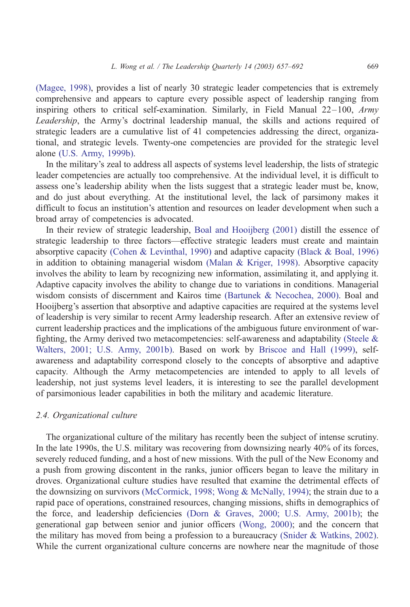[\(Magee, 1998\),](#page-34-0) provides a list of nearly 30 strategic leader competencies that is extremely comprehensive and appears to capture every possible aspect of leadership ranging from inspiring others to critical self-examination. Similarly, in Field Manual  $22-100$ , Army Leadership, the Army's doctrinal leadership manual, the skills and actions required of strategic leaders are a cumulative list of 41 competencies addressing the direct, organizational, and strategic levels. Twenty-one competencies are provided for the strategic level alone [\(U.S. Army, 1999b\).](#page-36-0)

In the military's zeal to address all aspects of systems level leadership, the lists of strategic leader competencies are actually too comprehensive. At the individual level, it is difficult to assess one's leadership ability when the lists suggest that a strategic leader must be, know, and do just about everything. At the institutional level, the lack of parsimony makes it difficult to focus an institution's attention and resources on leader development when such a broad array of competencies is advocated.

In their review of strategic leadership, [Boal and Hooijberg \(2001\)](#page-31-0) distill the essence of strategic leadership to three factors—effective strategic leaders must create and maintain absorptive capacity [\(Cohen & Levinthal, 1990\)](#page-32-0) and adaptive capacity [\(Black & Boal, 1996\)](#page-31-0) in addition to obtaining managerial wisdom [\(Malan & Kriger, 1998\).](#page-34-0) Absorptive capacity involves the ability to learn by recognizing new information, assimilating it, and applying it. Adaptive capacity involves the ability to change due to variations in conditions. Managerial wisdom consists of discernment and Kairos time [\(Bartunek & Necochea, 2000\).](#page-31-0) Boal and Hooijberg's assertion that absorptive and adaptive capacities are required at the systems level of leadership is very similar to recent Army leadership research. After an extensive review of current leadership practices and the implications of the ambiguous future environment of warfighting, the Army derived two metacompetencies: self-awareness and adaptability (Steele  $\&$ Walters, 2001; U.S. Army, 2001b). Based on work by [Briscoe and Hall \(1999\),](#page-31-0) selfawareness and adaptability correspond closely to the concepts of absorptive and adaptive capacity. Although the Army metacompetencies are intended to apply to all levels of leadership, not just systems level leaders, it is interesting to see the parallel development of parsimonious leader capabilities in both the military and academic literature.

#### 2.4. Organizational culture

The organizational culture of the military has recently been the subject of intense scrutiny. In the late 1990s, the U.S. military was recovering from downsizing nearly 40% of its forces, severely reduced funding, and a host of new missions. With the pull of the New Economy and a push from growing discontent in the ranks, junior officers began to leave the military in droves. Organizational culture studies have resulted that examine the detrimental effects of the downsizing on survivors [\(McCormick, 1998; Wong & McNally, 1994\);](#page-34-0) the strain due to a rapid pace of operations, constrained resources, changing missions, shifts in demographics of the force, and leadership deficiencies [\(Dorn & Graves, 2000; U.S. Army, 2001b\);](#page-32-0) the generational gap between senior and junior officers [\(Wong, 2000\);](#page-36-0) and the concern that the military has moved from being a profession to a bureaucracy [\(Snider & Watkins, 2002\).](#page-35-0) While the current organizational culture concerns are nowhere near the magnitude of those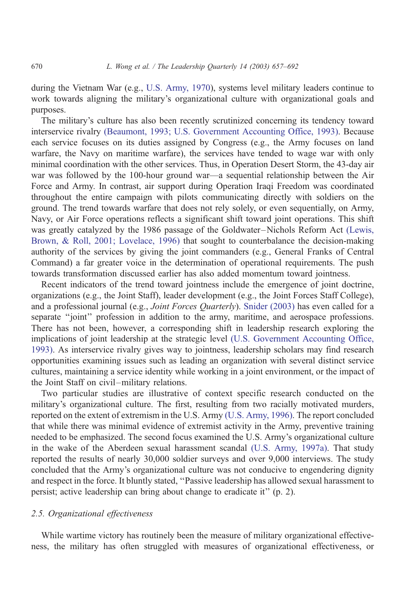during the Vietnam War (e.g., [U.S. Army, 1970\)](#page-35-0), systems level military leaders continue to work towards aligning the military's organizational culture with organizational goals and purposes.

The military's culture has also been recently scrutinized concerning its tendency toward interservice rivalry [\(Beaumont, 1993; U.S. Government Accounting Office, 1993\).](#page-31-0) Because each service focuses on its duties assigned by Congress (e.g., the Army focuses on land warfare, the Navy on maritime warfare), the services have tended to wage war with only minimal coordination with the other services. Thus, in Operation Desert Storm, the 43-day air war was followed by the 100-hour ground war—a sequential relationship between the Air Force and Army. In contrast, air support during Operation Iraqi Freedom was coordinated throughout the entire campaign with pilots communicating directly with soldiers on the ground. The trend towards warfare that does not rely solely, or even sequentially, on Army, Navy, or Air Force operations reflects a significant shift toward joint operations. This shift was greatly catalyzed by the 1986 passage of the Goldwater–Nichols Reform Act [\(Lewis,](#page-34-0) Brown, & Roll, 2001; Lovelace, 1996) that sought to counterbalance the decision-making authority of the services by giving the joint commanders (e.g., General Franks of Central Command) a far greater voice in the determination of operational requirements. The push towards transformation discussed earlier has also added momentum toward jointness.

Recent indicators of the trend toward jointness include the emergence of joint doctrine, organizations (e.g., the Joint Staff), leader development (e.g., the Joint Forces Staff College), and a professional journal (e.g., *Joint Forces Quarterly*). [Snider \(2003\)](#page-35-0) has even called for a separate ''joint'' profession in addition to the army, maritime, and aerospace professions. There has not been, however, a corresponding shift in leadership research exploring the implications of joint leadership at the strategic level [\(U.S. Government Accounting Office,](#page-36-0) 1993). As interservice rivalry gives way to jointness, leadership scholars may find research opportunities examining issues such as leading an organization with several distinct service cultures, maintaining a service identity while working in a joint environment, or the impact of the Joint Staff on civil–military relations.

Two particular studies are illustrative of context specific research conducted on the military's organizational culture. The first, resulting from two racially motivated murders, reported on the extent of extremism in the U.S. Army [\(U.S. Army, 1996\).](#page-35-0) The report concluded that while there was minimal evidence of extremist activity in the Army, preventive training needed to be emphasized. The second focus examined the U.S. Army's organizational culture in the wake of the Aberdeen sexual harassment scandal [\(U.S. Army, 1997a\).](#page-35-0) That study reported the results of nearly 30,000 soldier surveys and over 9,000 interviews. The study concluded that the Army's organizational culture was not conducive to engendering dignity and respect in the force. It bluntly stated, ''Passive leadership has allowed sexual harassment to persist; active leadership can bring about change to eradicate it'' (p. 2).

#### 2.5. Organizational effectiveness

While wartime victory has routinely been the measure of military organizational effectiveness, the military has often struggled with measures of organizational effectiveness, or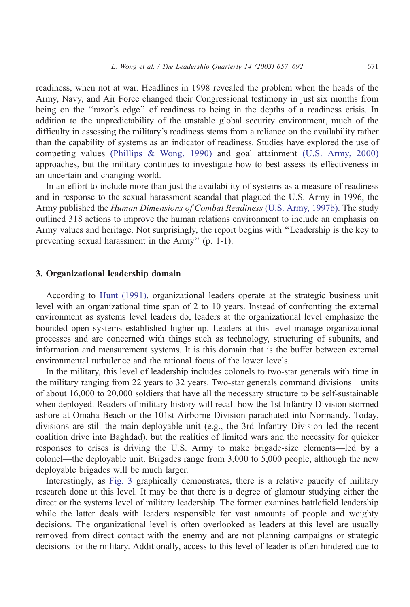readiness, when not at war. Headlines in 1998 revealed the problem when the heads of the Army, Navy, and Air Force changed their Congressional testimony in just six months from being on the "razor's edge" of readiness to being in the depths of a readiness crisis. In addition to the unpredictability of the unstable global security environment, much of the difficulty in assessing the military's readiness stems from a reliance on the availability rather than the capability of systems as an indicator of readiness. Studies have explored the use of competing values [\(Phillips & Wong, 1990\)](#page-35-0) and goal attainment [\(U.S. Army, 2000\)](#page-36-0) approaches, but the military continues to investigate how to best assess its effectiveness in an uncertain and changing world.

In an effort to include more than just the availability of systems as a measure of readiness and in response to the sexual harassment scandal that plagued the U.S. Army in 1996, the Army published the Human Dimensions of Combat Readiness [\(U.S. Army, 1997b\).](#page-35-0) The study outlined 318 actions to improve the human relations environment to include an emphasis on Army values and heritage. Not surprisingly, the report begins with ''Leadership is the key to preventing sexual harassment in the Army'' (p. 1-1).

### 3. Organizational leadership domain

According to [Hunt \(1991\),](#page-33-0) organizational leaders operate at the strategic business unit level with an organizational time span of 2 to 10 years. Instead of confronting the external environment as systems level leaders do, leaders at the organizational level emphasize the bounded open systems established higher up. Leaders at this level manage organizational processes and are concerned with things such as technology, structuring of subunits, and information and measurement systems. It is this domain that is the buffer between external environmental turbulence and the rational focus of the lower levels.

In the military, this level of leadership includes colonels to two-star generals with time in the military ranging from 22 years to 32 years. Two-star generals command divisions—units of about 16,000 to 20,000 soldiers that have all the necessary structure to be self-sustainable when deployed. Readers of military history will recall how the 1st Infantry Division stormed ashore at Omaha Beach or the 101st Airborne Division parachuted into Normandy. Today, divisions are still the main deployable unit (e.g., the 3rd Infantry Division led the recent coalition drive into Baghdad), but the realities of limited wars and the necessity for quicker responses to crises is driving the U.S. Army to make brigade-size elements—led by a colonel—the deployable unit. Brigades range from 3,000 to 5,000 people, although the new deployable brigades will be much larger.

Interestingly, as [Fig. 3](#page-16-0) graphically demonstrates, there is a relative paucity of military research done at this level. It may be that there is a degree of glamour studying either the direct or the systems level of military leadership. The former examines battlefield leadership while the latter deals with leaders responsible for vast amounts of people and weighty decisions. The organizational level is often overlooked as leaders at this level are usually removed from direct contact with the enemy and are not planning campaigns or strategic decisions for the military. Additionally, access to this level of leader is often hindered due to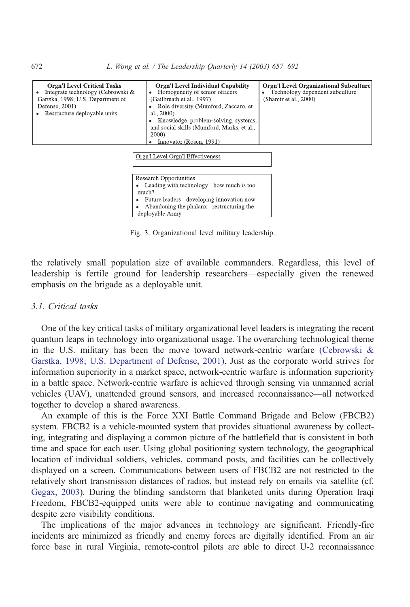<span id="page-16-0"></span>

| <b>Orgn'l Level Critical Tasks</b><br>Integrate technology (Cebrowski &<br>Gartska, 1998; U.S. Department of<br>Defense, 2001)<br>Restructure deployable units | <b>Orgn'l Level Individual Capability</b><br>Homogeneity of senior officers<br>(Gailbreath et al., 1997)<br>Role diversity (Mumford, Zaccaro, et<br>al., $2000$<br>Knowledge, problem-solving, systems,<br>and social skills (Mumford, Marks, et al., | <b>Orgn'l Level Organizational Subculture</b><br>• Technology dependent subculture<br>(Shamir et al., 2000) |
|----------------------------------------------------------------------------------------------------------------------------------------------------------------|-------------------------------------------------------------------------------------------------------------------------------------------------------------------------------------------------------------------------------------------------------|-------------------------------------------------------------------------------------------------------------|
|                                                                                                                                                                | <b>2000</b><br>Innovator (Rosen, 1991)                                                                                                                                                                                                                |                                                                                                             |
|                                                                                                                                                                | Orgn'l Level Orgn'l Effectiveness                                                                                                                                                                                                                     |                                                                                                             |
|                                                                                                                                                                | <b>Research Opportunities</b><br>• Leading with technology - how much is too<br>much?<br>Future leaders - developing innovation now                                                                                                                   |                                                                                                             |

Fig. 3. Organizational level military leadership.

Abandoning the phalanx - restructuring the

deployable Army

the relatively small population size of available commanders. Regardless, this level of leadership is fertile ground for leadership researchers—especially given the renewed emphasis on the brigade as a deployable unit.

#### 3.1. Critical tasks

One of the key critical tasks of military organizational level leaders is integrating the recent quantum leaps in technology into organizational usage. The overarching technological theme in the U.S. military has been the move toward network-centric warfare (Cebrowski  $\&$ Garstka, 1998; U.S. Department of Defense, 2001). Just as the corporate world strives for information superiority in a market space, network-centric warfare is information superiority in a battle space. Network-centric warfare is achieved through sensing via unmanned aerial vehicles (UAV), unattended ground sensors, and increased reconnaissance—all networked together to develop a shared awareness.

An example of this is the Force XXI Battle Command Brigade and Below (FBCB2) system. FBCB2 is a vehicle-mounted system that provides situational awareness by collecting, integrating and displaying a common picture of the battlefield that is consistent in both time and space for each user. Using global positioning system technology, the geographical location of individual soldiers, vehicles, command posts, and facilities can be collectively displayed on a screen. Communications between users of FBCB2 are not restricted to the relatively short transmission distances of radios, but instead rely on emails via satellite (cf. [Gegax, 2003\)](#page-32-0). During the blinding sandstorm that blanketed units during Operation Iraqi Freedom, FBCB2-equipped units were able to continue navigating and communicating despite zero visibility conditions.

The implications of the major advances in technology are significant. Friendly-fire incidents are minimized as friendly and enemy forces are digitally identified. From an air force base in rural Virginia, remote-control pilots are able to direct U-2 reconnaissance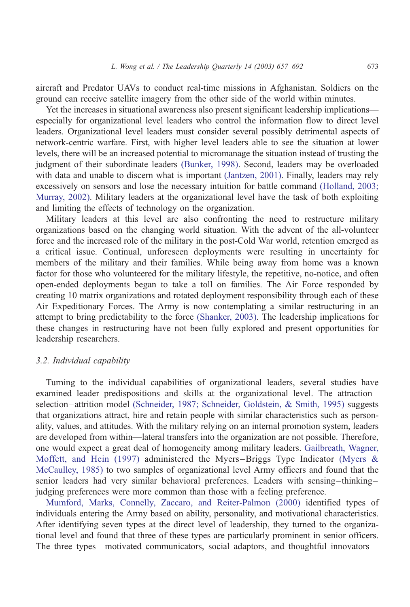aircraft and Predator UAVs to conduct real-time missions in Afghanistan. Soldiers on the ground can receive satellite imagery from the other side of the world within minutes.

Yet the increases in situational awareness also present significant leadership implications especially for organizational level leaders who control the information flow to direct level leaders. Organizational level leaders must consider several possibly detrimental aspects of network-centric warfare. First, with higher level leaders able to see the situation at lower levels, there will be an increased potential to micromanage the situation instead of trusting the judgment of their subordinate leaders [\(Bunker, 1998\).](#page-31-0) Second, leaders may be overloaded with data and unable to discern what is important [\(Jantzen, 2001\).](#page-33-0) Finally, leaders may rely excessively on sensors and lose the necessary intuition for battle command [\(Holland, 2003;](#page-33-0) Murray, 2002). Military leaders at the organizational level have the task of both exploiting and limiting the effects of technology on the organization.

Military leaders at this level are also confronting the need to restructure military organizations based on the changing world situation. With the advent of the all-volunteer force and the increased role of the military in the post-Cold War world, retention emerged as a critical issue. Continual, unforeseen deployments were resulting in uncertainty for members of the military and their families. While being away from home was a known factor for those who volunteered for the military lifestyle, the repetitive, no-notice, and often open-ended deployments began to take a toll on families. The Air Force responded by creating 10 matrix organizations and rotated deployment responsibility through each of these Air Expeditionary Forces. The Army is now contemplating a similar restructuring in an attempt to bring predictability to the force [\(Shanker, 2003\).](#page-35-0) The leadership implications for these changes in restructuring have not been fully explored and present opportunities for leadership researchers.

#### 3.2. Individual capability

Turning to the individual capabilities of organizational leaders, several studies have examined leader predispositions and skills at the organizational level. The attraction– selection–attrition model [\(Schneider, 1987; Schneider, Goldstein, & Smith, 1995\)](#page-35-0) suggests that organizations attract, hire and retain people with similar characteristics such as personality, values, and attitudes. With the military relying on an internal promotion system, leaders are developed from within—lateral transfers into the organization are not possible. Therefore, one would expect a great deal of homogeneity among military leaders. [Gailbreath, Wagner,](#page-32-0) Moffett, and Hein (1997) administered the Myers –Briggs Type Indicator [\(Myers &](#page-34-0) McCaulley, 1985) to two samples of organizational level Army officers and found that the senior leaders had very similar behavioral preferences. Leaders with sensing–thinking– judging preferences were more common than those with a feeling preference.

[Mumford, Marks, Connelly, Zaccaro, and Reiter-Palmon \(2000\)](#page-34-0) identified types of individuals entering the Army based on ability, personality, and motivational characteristics. After identifying seven types at the direct level of leadership, they turned to the organizational level and found that three of these types are particularly prominent in senior officers. The three types—motivated communicators, social adaptors, and thoughtful innovators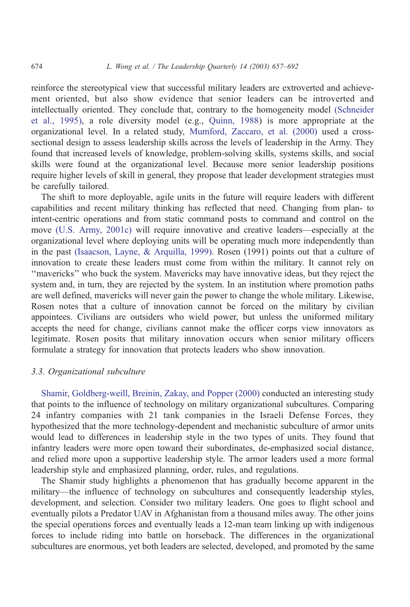reinforce the stereotypical view that successful military leaders are extroverted and achievement oriented, but also show evidence that senior leaders can be introverted and intellectually oriented. They conclude that, contrary to the homogeneity model [\(Schneider](#page-35-0) et al., 1995), a role diversity model (e.g., [Quinn, 1988\)](#page-35-0) is more appropriate at the organizational level. In a related study, [Mumford, Zaccaro, et al. \(2000\)](#page-34-0) used a crosssectional design to assess leadership skills across the levels of leadership in the Army. They found that increased levels of knowledge, problem-solving skills, systems skills, and social skills were found at the organizational level. Because more senior leadership positions require higher levels of skill in general, they propose that leader development strategies must be carefully tailored.

The shift to more deployable, agile units in the future will require leaders with different capabilities and recent military thinking has reflected that need. Changing from plan- to intent-centric operations and from static command posts to command and control on the move [\(U.S. Army, 2001c\)](#page-36-0) will require innovative and creative leaders—especially at the organizational level where deploying units will be operating much more independently than in the past [\(Isaacson, Layne, & Arquilla, 1999\).](#page-33-0) Rosen (1991) points out that a culture of innovation to create these leaders must come from within the military. It cannot rely on ''mavericks'' who buck the system. Mavericks may have innovative ideas, but they reject the system and, in turn, they are rejected by the system. In an institution where promotion paths are well defined, mavericks will never gain the power to change the whole military. Likewise, Rosen notes that a culture of innovation cannot be forced on the military by civilian appointees. Civilians are outsiders who wield power, but unless the uniformed military accepts the need for change, civilians cannot make the officer corps view innovators as legitimate. Rosen posits that military innovation occurs when senior military officers formulate a strategy for innovation that protects leaders who show innovation.

#### 3.3. Organizational subculture

[Shamir, Goldberg-weill, Breinin, Zakay, and Popper \(2000\)](#page-35-0) conducted an interesting study that points to the influence of technology on military organizational subcultures. Comparing 24 infantry companies with 21 tank companies in the Israeli Defense Forces, they hypothesized that the more technology-dependent and mechanistic subculture of armor units would lead to differences in leadership style in the two types of units. They found that infantry leaders were more open toward their subordinates, de-emphasized social distance, and relied more upon a supportive leadership style. The armor leaders used a more formal leadership style and emphasized planning, order, rules, and regulations.

The Shamir study highlights a phenomenon that has gradually become apparent in the military—the influence of technology on subcultures and consequently leadership styles, development, and selection. Consider two military leaders. One goes to flight school and eventually pilots a Predator UAV in Afghanistan from a thousand miles away. The other joins the special operations forces and eventually leads a 12-man team linking up with indigenous forces to include riding into battle on horseback. The differences in the organizational subcultures are enormous, yet both leaders are selected, developed, and promoted by the same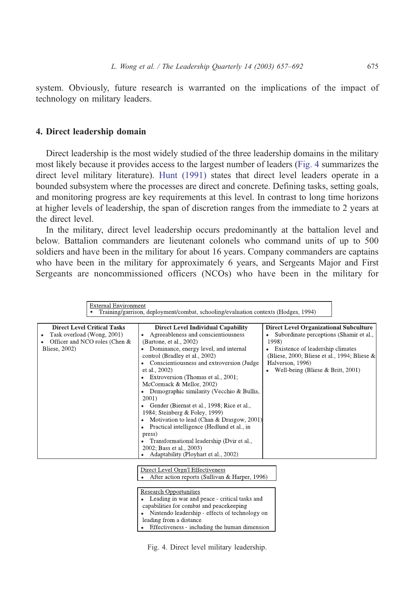system. Obviously, future research is warranted on the implications of the impact of technology on military leaders.

### 4. Direct leadership domain

Direct leadership is the most widely studied of the three leadership domains in the military most likely because it provides access to the largest number of leaders (Fig. 4 summarizes the direct level military literature). [Hunt \(1991\)](#page-33-0) states that direct level leaders operate in a bounded subsystem where the processes are direct and concrete. Defining tasks, setting goals, and monitoring progress are key requirements at this level. In contrast to long time horizons at higher levels of leadership, the span of discretion ranges from the immediate to 2 years at the direct level.

In the military, direct level leadership occurs predominantly at the battalion level and below. Battalion commanders are lieutenant colonels who command units of up to 500 soldiers and have been in the military for about 16 years. Company commanders are captains who have been in the military for approximately 6 years, and Sergeants Major and First Sergeants are noncommissioned officers (NCOs) who have been in the military for

| <b>External Environment</b><br>٠                                                                                   | Training/garrison, deployment/combat, schooling/evaluation contexts (Hodges, 1994)                                                                                                                                                                                                                                                                            |                                                                                                                                                                                                                                                   |
|--------------------------------------------------------------------------------------------------------------------|---------------------------------------------------------------------------------------------------------------------------------------------------------------------------------------------------------------------------------------------------------------------------------------------------------------------------------------------------------------|---------------------------------------------------------------------------------------------------------------------------------------------------------------------------------------------------------------------------------------------------|
| <b>Direct Level Critical Tasks</b><br>Task overload (Wong, 2001)<br>Officer and NCO roles (Chen &<br>Bliese, 2002) | <b>Direct Level Individual Capability</b><br>Agreeableness and conscientiousness<br>(Bartone, et al., 2002)<br>Dominance, energy level, and internal<br>control (Bradley et al., 2002)<br>Conscientiousness and extroversion (Judge)<br>٠<br>et al., 2002)<br>Extroversion (Thomas et al., 2001;<br>McCormack & Mellor, 2002)                                 | <b>Direct Level Organizational Subculture</b><br>Subordinate perceptions (Shamir et al.,<br>1998)<br>Existence of leadership climates<br>(Bliese, 2000; Bliese et al., 1994; Bliese $\&$<br>Halverson, 1996)<br>Well-being (Bliese & Britt, 2001) |
|                                                                                                                    | Demographic similarity (Vecchio & Bullis,<br>2001)<br>Gender (Biernat et al., 1998; Rice et al.,<br>1984; Steinberg & Foley, 1999)<br>Motivation to lead (Chan & Drasgow, 2001)<br>٠<br>Practical intelligence (Hedlund et al., in<br>press)<br>Transformational leadership (Dvir et al.,<br>2002; Bass et al., 2003)<br>Adaptability (Ployhart et al., 2002) |                                                                                                                                                                                                                                                   |
|                                                                                                                    | Direct Level Orgn'l Effectiveness                                                                                                                                                                                                                                                                                                                             |                                                                                                                                                                                                                                                   |

• After action reports (Sullivan & Harper, 1996)

**Research Opportunities** 

- Leading in war and peace critical tasks and
- capabilities for combat and peacekeeping
- Nintendo leadership effects of technology on
- leading from a distance
- Effectiveness including the human dimension

Fig. 4. Direct level military leadership.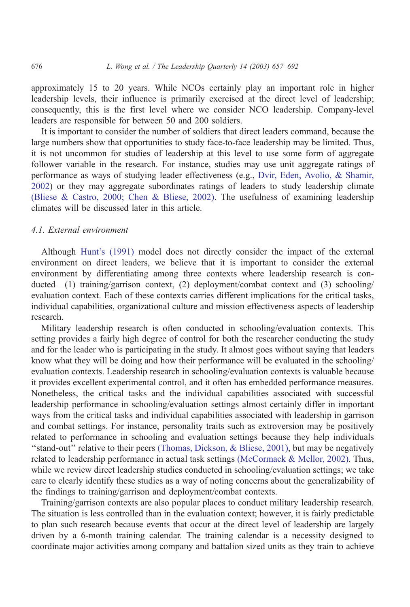approximately 15 to 20 years. While NCOs certainly play an important role in higher leadership levels, their influence is primarily exercised at the direct level of leadership; consequently, this is the first level where we consider NCO leadership. Company-level leaders are responsible for between 50 and 200 soldiers.

It is important to consider the number of soldiers that direct leaders command, because the large numbers show that opportunities to study face-to-face leadership may be limited. Thus, it is not uncommon for studies of leadership at this level to use some form of aggregate follower variable in the research. For instance, studies may use unit aggregate ratings of performance as ways of studying leader effectiveness (e.g., [Dvir, Eden, Avolio, & Shamir,](#page-32-0) 2002) or they may aggregate subordinates ratings of leaders to study leadership climate [\(Bliese & Castro, 2000; Chen & Bliese, 2002\).](#page-31-0) The usefulness of examining leadership climates will be discussed later in this article.

# 4.1. External environment

Although [Hunt's \(1991\)](#page-33-0) model does not directly consider the impact of the external environment on direct leaders, we believe that it is important to consider the external environment by differentiating among three contexts where leadership research is conducted—(1) training/garrison context, (2) deployment/combat context and (3) schooling/ evaluation context. Each of these contexts carries different implications for the critical tasks, individual capabilities, organizational culture and mission effectiveness aspects of leadership research.

Military leadership research is often conducted in schooling/evaluation contexts. This setting provides a fairly high degree of control for both the researcher conducting the study and for the leader who is participating in the study. It almost goes without saying that leaders know what they will be doing and how their performance will be evaluated in the schooling/ evaluation contexts. Leadership research in schooling/evaluation contexts is valuable because it provides excellent experimental control, and it often has embedded performance measures. Nonetheless, the critical tasks and the individual capabilities associated with successful leadership performance in schooling/evaluation settings almost certainly differ in important ways from the critical tasks and individual capabilities associated with leadership in garrison and combat settings. For instance, personality traits such as extroversion may be positively related to performance in schooling and evaluation settings because they help individuals "stand-out" relative to their peers [\(Thomas, Dickson, & Bliese, 2001\),](#page-35-0) but may be negatively related to leadership performance in actual task settings [\(McCormack & Mellor, 2002\).](#page-34-0) Thus, while we review direct leadership studies conducted in schooling/evaluation settings; we take care to clearly identify these studies as a way of noting concerns about the generalizability of the findings to training/garrison and deployment/combat contexts.

Training/garrison contexts are also popular places to conduct military leadership research. The situation is less controlled than in the evaluation context; however, it is fairly predictable to plan such research because events that occur at the direct level of leadership are largely driven by a 6-month training calendar. The training calendar is a necessity designed to coordinate major activities among company and battalion sized units as they train to achieve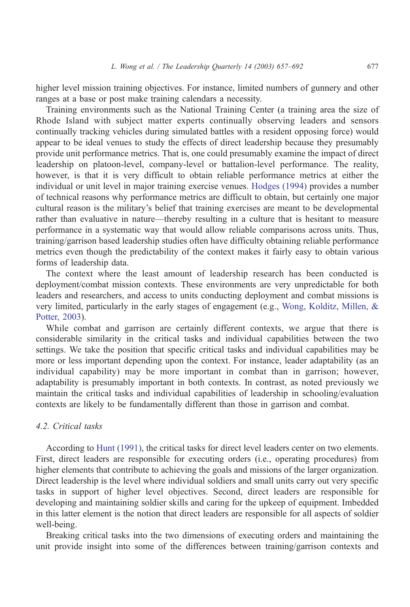higher level mission training objectives. For instance, limited numbers of gunnery and other ranges at a base or post make training calendars a necessity.

Training environments such as the National Training Center (a training area the size of Rhode Island with subject matter experts continually observing leaders and sensors continually tracking vehicles during simulated battles with a resident opposing force) would appear to be ideal venues to study the effects of direct leadership because they presumably provide unit performance metrics. That is, one could presumably examine the impact of direct leadership on platoon-level, company-level or battalion-level performance. The reality, however, is that it is very difficult to obtain reliable performance metrics at either the individual or unit level in major training exercise venues. [Hodges \(1994\)](#page-32-0) provides a number of technical reasons why performance metrics are difficult to obtain, but certainly one major cultural reason is the military's belief that training exercises are meant to be developmental rather than evaluative in nature—thereby resulting in a culture that is hesitant to measure performance in a systematic way that would allow reliable comparisons across units. Thus, training/garrison based leadership studies often have difficulty obtaining reliable performance metrics even though the predictability of the context makes it fairly easy to obtain various forms of leadership data.

The context where the least amount of leadership research has been conducted is deployment/combat mission contexts. These environments are very unpredictable for both leaders and researchers, and access to units conducting deployment and combat missions is very limited, particularly in the early stages of engagement (e.g., [Wong, Kolditz, Millen, &](#page-36-0) Potter, 2003).

While combat and garrison are certainly different contexts, we argue that there is considerable similarity in the critical tasks and individual capabilities between the two settings. We take the position that specific critical tasks and individual capabilities may be more or less important depending upon the context. For instance, leader adaptability (as an individual capability) may be more important in combat than in garrison; however, adaptability is presumably important in both contexts. In contrast, as noted previously we maintain the critical tasks and individual capabilities of leadership in schooling/evaluation contexts are likely to be fundamentally different than those in garrison and combat.

# 4.2. Critical tasks

According to [Hunt \(1991\),](#page-33-0) the critical tasks for direct level leaders center on two elements. First, direct leaders are responsible for executing orders (i.e., operating procedures) from higher elements that contribute to achieving the goals and missions of the larger organization. Direct leadership is the level where individual soldiers and small units carry out very specific tasks in support of higher level objectives. Second, direct leaders are responsible for developing and maintaining soldier skills and caring for the upkeep of equipment. Imbedded in this latter element is the notion that direct leaders are responsible for all aspects of soldier well-being.

Breaking critical tasks into the two dimensions of executing orders and maintaining the unit provide insight into some of the differences between training/garrison contexts and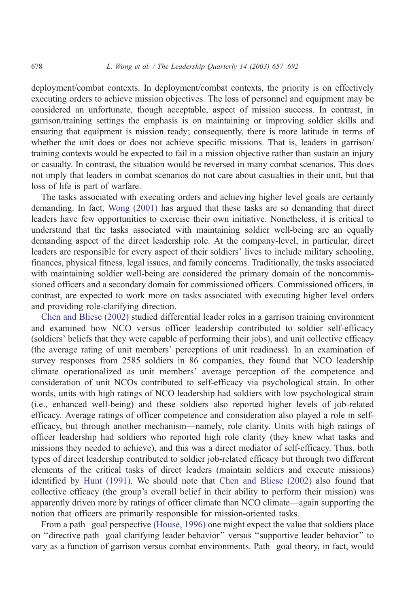deployment/combat contexts. In deployment/combat contexts, the priority is on effectively executing orders to achieve mission objectives. The loss of personnel and equipment may be considered an unfortunate, though acceptable, aspect of mission success. In contrast, in garrison/training settings the emphasis is on maintaining or improving soldier skills and ensuring that equipment is mission ready; consequently, there is more latitude in terms of whether the unit does or does not achieve specific missions. That is, leaders in garrison/ training contexts would be expected to fail in a mission objective rather than sustain an injury or casualty. In contrast, the situation would be reversed in many combat scenarios. This does not imply that leaders in combat scenarios do not care about casualties in their unit, but that loss of life is part of warfare.

The tasks associated with executing orders and achieving higher level goals are certainly demanding. In fact, [Wong \(2001\)](#page-36-0) has argued that these tasks are so demanding that direct leaders have few opportunities to exercise their own initiative. Nonetheless, it is critical to understand that the tasks associated with maintaining soldier well-being are an equally demanding aspect of the direct leadership role. At the company-level, in particular, direct leaders are responsible for every aspect of their soldiers' lives to include military schooling, finances, physical fitness, legal issues, and family concerns. Traditionally, the tasks associated with maintaining soldier well-being are considered the primary domain of the noncommissioned officers and a secondary domain for commissioned officers. Commissioned officers, in contrast, are expected to work more on tasks associated with executing higher level orders and providing role-clarifying direction.

[Chen and Bliese \(2002\)](#page-32-0) studied differential leader roles in a garrison training environment and examined how NCO versus officer leadership contributed to soldier self-efficacy (soldiers' beliefs that they were capable of performing their jobs), and unit collective efficacy (the average rating of unit members' perceptions of unit readiness). In an examination of survey responses from 2585 soldiers in 86 companies, they found that NCO leadership climate operationalized as unit members' average perception of the competence and consideration of unit NCOs contributed to self-efficacy via psychological strain. In other words, units with high ratings of NCO leadership had soldiers with low psychological strain (i.e., enhanced well-being) and these soldiers also reported higher levels of job-related efficacy. Average ratings of officer competence and consideration also played a role in selfefficacy, but through another mechanism—namely, role clarity. Units with high ratings of officer leadership had soldiers who reported high role clarity (they knew what tasks and missions they needed to achieve), and this was a direct mediator of self-efficacy. Thus, both types of direct leadership contributed to soldier job-related efficacy but through two different elements of the critical tasks of direct leaders (maintain soldiers and execute missions) identified by [Hunt \(1991\).](#page-33-0) We should note that [Chen and Bliese \(2002\)](#page-32-0) also found that collective efficacy (the group's overall belief in their ability to perform their mission) was apparently driven more by ratings of officer climate than NCO climate—again supporting the notion that officers are primarily responsible for mission-oriented tasks.

From a path–goal perspective [\(House, 1996\)](#page-33-0) one might expect the value that soldiers place on ''directive path–goal clarifying leader behavior'' versus ''supportive leader behavior'' to vary as a function of garrison versus combat environments. Path–goal theory, in fact, would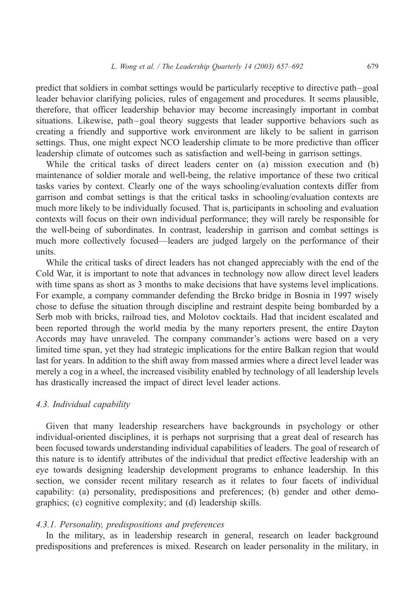predict that soldiers in combat settings would be particularly receptive to directive path–goal leader behavior clarifying policies, rules of engagement and procedures. It seems plausible, therefore, that officer leadership behavior may become increasingly important in combat situations. Likewise, path–goal theory suggests that leader supportive behaviors such as creating a friendly and supportive work environment are likely to be salient in garrison settings. Thus, one might expect NCO leadership climate to be more predictive than officer leadership climate of outcomes such as satisfaction and well-being in garrison settings.

While the critical tasks of direct leaders center on (a) mission execution and (b) maintenance of soldier morale and well-being, the relative importance of these two critical tasks varies by context. Clearly one of the ways schooling/evaluation contexts differ from garrison and combat settings is that the critical tasks in schooling/evaluation contexts are much more likely to be individually focused. That is, participants in schooling and evaluation contexts will focus on their own individual performance; they will rarely be responsible for the well-being of subordinates. In contrast, leadership in garrison and combat settings is much more collectively focused—leaders are judged largely on the performance of their units.

While the critical tasks of direct leaders has not changed appreciably with the end of the Cold War, it is important to note that advances in technology now allow direct level leaders with time spans as short as 3 months to make decisions that have systems level implications. For example, a company commander defending the Brcko bridge in Bosnia in 1997 wisely chose to defuse the situation through discipline and restraint despite being bombarded by a Serb mob with bricks, railroad ties, and Molotov cocktails. Had that incident escalated and been reported through the world media by the many reporters present, the entire Dayton Accords may have unraveled. The company commander's actions were based on a very limited time span, yet they had strategic implications for the entire Balkan region that would last for years. In addition to the shift away from massed armies where a direct level leader was merely a cog in a wheel, the increased visibility enabled by technology of all leadership levels has drastically increased the impact of direct level leader actions.

### 4.3. Individual capability

Given that many leadership researchers have backgrounds in psychology or other individual-oriented disciplines, it is perhaps not surprising that a great deal of research has been focused towards understanding individual capabilities of leaders. The goal of research of this nature is to identify attributes of the individual that predict effective leadership with an eye towards designing leadership development programs to enhance leadership. In this section, we consider recent military research as it relates to four facets of individual capability: (a) personality, predispositions and preferences; (b) gender and other demographics; (c) cognitive complexity; and (d) leadership skills.

#### 4.3.1. Personality, predispositions and preferences

In the military, as in leadership research in general, research on leader background predispositions and preferences is mixed. Research on leader personality in the military, in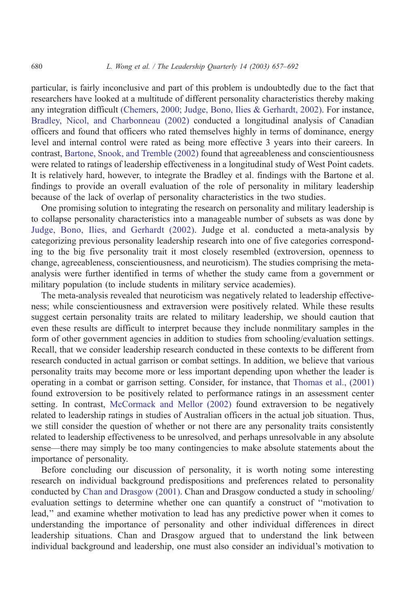particular, is fairly inconclusive and part of this problem is undoubtedly due to the fact that researchers have looked at a multitude of different personality characteristics thereby making any integration difficult [\(Chemers, 2000; Judge, Bono, Ilies & Gerhardt, 2002\).](#page-32-0) For instance, [Bradley, Nicol, and Charbonneau \(2002\)](#page-31-0) conducted a longitudinal analysis of Canadian officers and found that officers who rated themselves highly in terms of dominance, energy level and internal control were rated as being more effective 3 years into their careers. In contrast, [Bartone, Snook, and Tremble \(2002\)](#page-31-0) found that agreeableness and conscientiousness were related to ratings of leadership effectiveness in a longitudinal study of West Point cadets. It is relatively hard, however, to integrate the Bradley et al. findings with the Bartone et al. findings to provide an overall evaluation of the role of personality in military leadership because of the lack of overlap of personality characteristics in the two studies.

One promising solution to integrating the research on personality and military leadership is to collapse personality characteristics into a manageable number of subsets as was done by [Judge, Bono, Ilies, and Gerhardt \(2002\).](#page-33-0) Judge et al. conducted a meta-analysis by categorizing previous personality leadership research into one of five categories corresponding to the big five personality trait it most closely resembled (extroversion, openness to change, agreeableness, conscientiousness, and neuroticism). The studies comprising the metaanalysis were further identified in terms of whether the study came from a government or military population (to include students in military service academies).

The meta-analysis revealed that neuroticism was negatively related to leadership effectiveness; while conscientiousness and extraversion were positively related. While these results suggest certain personality traits are related to military leadership, we should caution that even these results are difficult to interpret because they include nonmilitary samples in the form of other government agencies in addition to studies from schooling/evaluation settings. Recall, that we consider leadership research conducted in these contexts to be different from research conducted in actual garrison or combat settings. In addition, we believe that various personality traits may become more or less important depending upon whether the leader is operating in a combat or garrison setting. Consider, for instance, that [Thomas et al., \(2001\)](#page-35-0) found extroversion to be positively related to performance ratings in an assessment center setting. In contrast, [McCormack and Mellor \(2002\)](#page-34-0) found extraversion to be negatively related to leadership ratings in studies of Australian officers in the actual job situation. Thus, we still consider the question of whether or not there are any personality traits consistently related to leadership effectiveness to be unresolved, and perhaps unresolvable in any absolute sense—there may simply be too many contingencies to make absolute statements about the importance of personality.

Before concluding our discussion of personality, it is worth noting some interesting research on individual background predispositions and preferences related to personality conducted by [Chan and Drasgow \(2001\).](#page-32-0) Chan and Drasgow conducted a study in schooling/ evaluation settings to determine whether one can quantify a construct of ''motivation to lead,'' and examine whether motivation to lead has any predictive power when it comes to understanding the importance of personality and other individual differences in direct leadership situations. Chan and Drasgow argued that to understand the link between individual background and leadership, one must also consider an individual's motivation to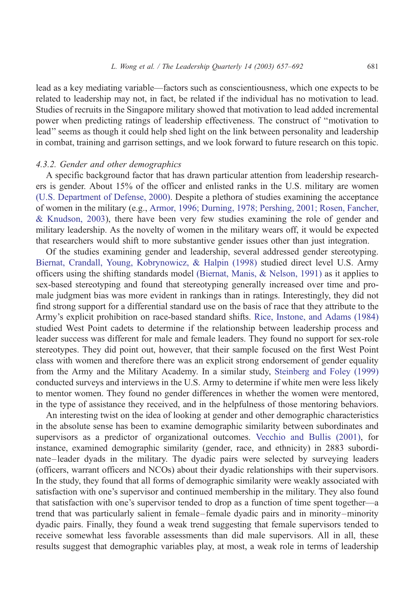lead as a key mediating variable—factors such as conscientiousness, which one expects to be related to leadership may not, in fact, be related if the individual has no motivation to lead. Studies of recruits in the Singapore military showed that motivation to lead added incremental power when predicting ratings of leadership effectiveness. The construct of ''motivation to lead'' seems as though it could help shed light on the link between personality and leadership in combat, training and garrison settings, and we look forward to future research on this topic.

#### 4.3.2. Gender and other demographics

A specific background factor that has drawn particular attention from leadership researchers is gender. About 15% of the officer and enlisted ranks in the U.S. military are women [\(U.S. Department of Defense, 2000\).](#page-36-0) Despite a plethora of studies examining the acceptance of women in the military (e.g., [Armor, 1996; Durning, 1978; Pershing, 2001; Rosen, Fancher,](#page-30-0) & Knudson, 2003), there have been very few studies examining the role of gender and military leadership. As the novelty of women in the military wears off, it would be expected that researchers would shift to more substantive gender issues other than just integration.

Of the studies examining gender and leadership, several addressed gender stereotyping. [Biernat, Crandall, Young, Kobrynowicz, & Halpin \(1998\)](#page-31-0) studied direct level U.S. Army officers using the shifting standards model [\(Biernat, Manis, & Nelson, 1991\)](#page-31-0) as it applies to sex-based stereotyping and found that stereotyping generally increased over time and promale judgment bias was more evident in rankings than in ratings. Interestingly, they did not find strong support for a differential standard use on the basis of race that they attribute to the Army's explicit prohibition on race-based standard shifts. [Rice, Instone, and Adams \(1984\)](#page-35-0) studied West Point cadets to determine if the relationship between leadership process and leader success was different for male and female leaders. They found no support for sex-role stereotypes. They did point out, however, that their sample focused on the first West Point class with women and therefore there was an explicit strong endorsement of gender equality from the Army and the Military Academy. In a similar study, [Steinberg and Foley \(1999\)](#page-35-0) conducted surveys and interviews in the U.S. Army to determine if white men were less likely to mentor women. They found no gender differences in whether the women were mentored, in the type of assistance they received, and in the helpfulness of those mentoring behaviors.

An interesting twist on the idea of looking at gender and other demographic characteristics in the absolute sense has been to examine demographic similarity between subordinates and supervisors as a predictor of organizational outcomes. [Vecchio and Bullis \(2001\),](#page-36-0) for instance, examined demographic similarity (gender, race, and ethnicity) in 2883 subordinate–leader dyads in the military. The dyadic pairs were selected by surveying leaders (officers, warrant officers and NCOs) about their dyadic relationships with their supervisors. In the study, they found that all forms of demographic similarity were weakly associated with satisfaction with one's supervisor and continued membership in the military. They also found that satisfaction with one's supervisor tended to drop as a function of time spent together—a trend that was particularly salient in female– female dyadic pairs and in minority–minority dyadic pairs. Finally, they found a weak trend suggesting that female supervisors tended to receive somewhat less favorable assessments than did male supervisors. All in all, these results suggest that demographic variables play, at most, a weak role in terms of leadership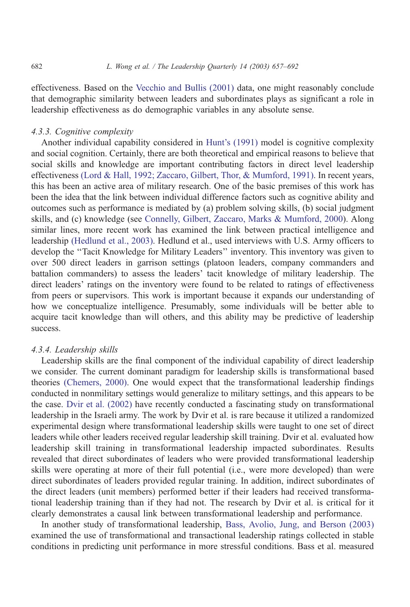effectiveness. Based on the [Vecchio and Bullis \(2001\)](#page-36-0) data, one might reasonably conclude that demographic similarity between leaders and subordinates plays as significant a role in leadership effectiveness as do demographic variables in any absolute sense.

#### 4.3.3. Cognitive complexity

Another individual capability considered in [Hunt's \(1991\)](#page-33-0) model is cognitive complexity and social cognition. Certainly, there are both theoretical and empirical reasons to believe that social skills and knowledge are important contributing factors in direct level leadership effectiveness [\(Lord & Hall, 1992; Zaccaro, Gilbert, Thor, & Mumford, 1991\).](#page-34-0) In recent years, this has been an active area of military research. One of the basic premises of this work has been the idea that the link between individual difference factors such as cognitive ability and outcomes such as performance is mediated by (a) problem solving skills, (b) social judgment skills, and (c) knowledge (see [Connelly, Gilbert, Zaccaro, Marks & Mumford, 2000\)](#page-32-0). Along similar lines, more recent work has examined the link between practical intelligence and leadership [\(Hedlund et al., 2003\).](#page-32-0) Hedlund et al., used interviews with U.S. Army officers to develop the ''Tacit Knowledge for Military Leaders'' inventory. This inventory was given to over 500 direct leaders in garrison settings (platoon leaders, company commanders and battalion commanders) to assess the leaders' tacit knowledge of military leadership. The direct leaders' ratings on the inventory were found to be related to ratings of effectiveness from peers or supervisors. This work is important because it expands our understanding of how we conceptualize intelligence. Presumably, some individuals will be better able to acquire tacit knowledge than will others, and this ability may be predictive of leadership success.

#### 4.3.4. Leadership skills

Leadership skills are the final component of the individual capability of direct leadership we consider. The current dominant paradigm for leadership skills is transformational based theories [\(Chemers, 2000\).](#page-32-0) One would expect that the transformational leadership findings conducted in nonmilitary settings would generalize to military settings, and this appears to be the case. [Dvir et al. \(2002\)](#page-32-0) have recently conducted a fascinating study on transformational leadership in the Israeli army. The work by Dvir et al. is rare because it utilized a randomized experimental design where transformational leadership skills were taught to one set of direct leaders while other leaders received regular leadership skill training. Dvir et al. evaluated how leadership skill training in transformational leadership impacted subordinates. Results revealed that direct subordinates of leaders who were provided transformational leadership skills were operating at more of their full potential (i.e., were more developed) than were direct subordinates of leaders provided regular training. In addition, indirect subordinates of the direct leaders (unit members) performed better if their leaders had received transformational leadership training than if they had not. The research by Dvir et al. is critical for it clearly demonstrates a causal link between transformational leadership and performance.

In another study of transformational leadership, [Bass, Avolio, Jung, and Berson \(2003\)](#page-31-0) examined the use of transformational and transactional leadership ratings collected in stable conditions in predicting unit performance in more stressful conditions. Bass et al. measured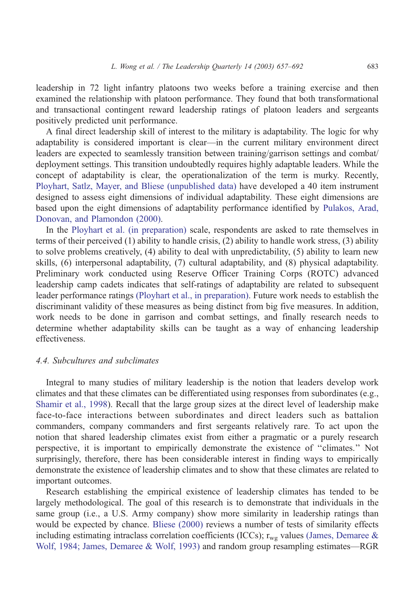leadership in 72 light infantry platoons two weeks before a training exercise and then examined the relationship with platoon performance. They found that both transformational and transactional contingent reward leadership ratings of platoon leaders and sergeants positively predicted unit performance.

A final direct leadership skill of interest to the military is adaptability. The logic for why adaptability is considered important is clear—in the current military environment direct leaders are expected to seamlessly transition between training/garrison settings and combat/ deployment settings. This transition undoubtedly requires highly adaptable leaders. While the concept of adaptability is clear, the operationalization of the term is murky. Recently, [Ployhart, Satlz, Mayer, and Bliese \(unpublished data\)](#page-36-0) have developed a 40 item instrument designed to assess eight dimensions of individual adaptability. These eight dimensions are based upon the eight dimensions of adaptability performance identified by [Pulakos, Arad,](#page-35-0) Donovan, and Plamondon (2000).

In the [Ployhart et al. \(in preparation\)](#page-36-0) scale, respondents are asked to rate themselves in terms of their perceived (1) ability to handle crisis, (2) ability to handle work stress, (3) ability to solve problems creatively, (4) ability to deal with unpredictability, (5) ability to learn new skills, (6) interpersonal adaptability, (7) cultural adaptability, and (8) physical adaptability. Preliminary work conducted using Reserve Officer Training Corps (ROTC) advanced leadership camp cadets indicates that self-ratings of adaptability are related to subsequent leader performance ratings [\(Ployhart et al., in preparation\).](#page-36-0) Future work needs to establish the discriminant validity of these measures as being distinct from big five measures. In addition, work needs to be done in garrison and combat settings, and finally research needs to determine whether adaptability skills can be taught as a way of enhancing leadership effectiveness.

# 4.4. Subcultures and subclimates

Integral to many studies of military leadership is the notion that leaders develop work climates and that these climates can be differentiated using responses from subordinates (e.g., [Shamir et al., 1998\)](#page-35-0). Recall that the large group sizes at the direct level of leadership make face-to-face interactions between subordinates and direct leaders such as battalion commanders, company commanders and first sergeants relatively rare. To act upon the notion that shared leadership climates exist from either a pragmatic or a purely research perspective, it is important to empirically demonstrate the existence of ''climates.'' Not surprisingly, therefore, there has been considerable interest in finding ways to empirically demonstrate the existence of leadership climates and to show that these climates are related to important outcomes.

Research establishing the empirical existence of leadership climates has tended to be largely methodological. The goal of this research is to demonstrate that individuals in the same group (i.e., a U.S. Army company) show more similarity in leadership ratings than would be expected by chance. [Bliese \(2000\)](#page-31-0) reviews a number of tests of similarity effects including estimating intraclass correlation coefficients (ICCs);  $r_{wg}$  values [\(James, Demaree &](#page-33-0) Wolf, 1984; James, Demaree & Wolf, 1993) and random group resampling estimates—RGR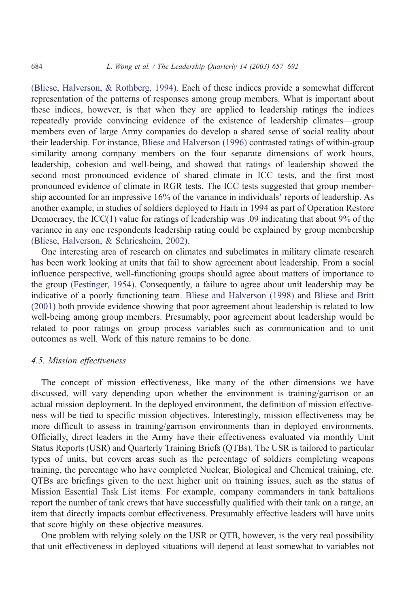[\(Bliese, Halverson, & Rothberg, 1994\).](#page-31-0) Each of these indices provide a somewhat different representation of the patterns of responses among group members. What is important about these indices, however, is that when they are applied to leadership ratings the indices repeatedly provide convincing evidence of the existence of leadership climates—group members even of large Army companies do develop a shared sense of social reality about their leadership. For instance, [Bliese and Halverson \(1996\)](#page-31-0) contrasted ratings of within-group similarity among company members on the four separate dimensions of work hours, leadership, cohesion and well-being, and showed that ratings of leadership showed the second most pronounced evidence of shared climate in ICC tests, and the first most pronounced evidence of climate in RGR tests. The ICC tests suggested that group membership accounted for an impressive 16% of the variance in individuals' reports of leadership. As another example, in studies of soldiers deployed to Haiti in 1994 as part of Operation Restore Democracy, the ICC(1) value for ratings of leadership was .09 indicating that about 9% of the variance in any one respondents leadership rating could be explained by group membership [\(Bliese, Halverson, & Schriesheim, 2002\).](#page-31-0)

One interesting area of research on climates and subclimates in military climate research has been work looking at units that fail to show agreement about leadership. From a social influence perspective, well-functioning groups should agree about matters of importance to the group [\(Festinger, 1954\).](#page-32-0) Consequently, a failure to agree about unit leadership may be indicative of a poorly functioning team. [Bliese and Halverson \(1998\)](#page-31-0) and [Bliese and Britt](#page-31-0) (2001) both provide evidence showing that poor agreement about leadership is related to low well-being among group members. Presumably, poor agreement about leadership would be related to poor ratings on group process variables such as communication and to unit outcomes as well. Work of this nature remains to be done.

### 4.5. Mission effectiveness

The concept of mission effectiveness, like many of the other dimensions we have discussed, will vary depending upon whether the environment is training/garrison or an actual mission deployment. In the deployed environment, the definition of mission effectiveness will be tied to specific mission objectives. Interestingly, mission effectiveness may be more difficult to assess in training/garrison environments than in deployed environments. Officially, direct leaders in the Army have their effectiveness evaluated via monthly Unit Status Reports (USR) and Quarterly Training Briefs (QTBs). The USR is tailored to particular types of units, but covers areas such as the percentage of soldiers completing weapons training, the percentage who have completed Nuclear, Biological and Chemical training, etc. QTBs are briefings given to the next higher unit on training issues, such as the status of Mission Essential Task List items. For example, company commanders in tank battalions report the number of tank crews that have successfully qualified with their tank on a range, an item that directly impacts combat effectiveness. Presumably effective leaders will have units that score highly on these objective measures.

One problem with relying solely on the USR or QTB, however, is the very real possibility that unit effectiveness in deployed situations will depend at least somewhat to variables not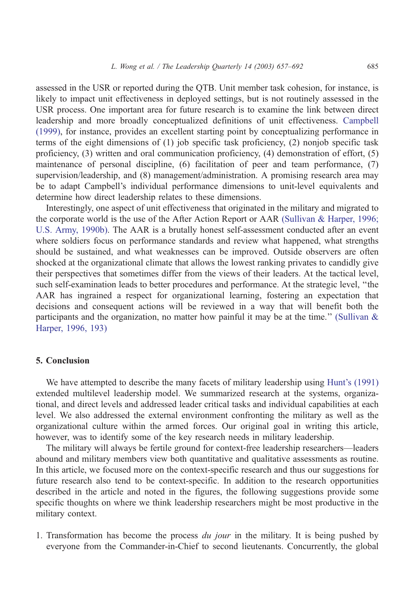assessed in the USR or reported during the QTB. Unit member task cohesion, for instance, is likely to impact unit effectiveness in deployed settings, but is not routinely assessed in the USR process. One important area for future research is to examine the link between direct leadership and more broadly conceptualized definitions of unit effectiveness. [Campbell](#page-31-0) (1999), for instance, provides an excellent starting point by conceptualizing performance in terms of the eight dimensions of (1) job specific task proficiency, (2) nonjob specific task proficiency, (3) written and oral communication proficiency, (4) demonstration of effort, (5) maintenance of personal discipline, (6) facilitation of peer and team performance, (7) supervision/leadership, and (8) management/administration. A promising research area may be to adapt Campbell's individual performance dimensions to unit-level equivalents and determine how direct leadership relates to these dimensions.

Interestingly, one aspect of unit effectiveness that originated in the military and migrated to the corporate world is the use of the After Action Report or AAR [\(Sullivan & Harper, 1996;](#page-35-0) U.S. Army, 1990b). The AAR is a brutally honest self-assessment conducted after an event where soldiers focus on performance standards and review what happened, what strengths should be sustained, and what weaknesses can be improved. Outside observers are often shocked at the organizational climate that allows the lowest ranking privates to candidly give their perspectives that sometimes differ from the views of their leaders. At the tactical level, such self-examination leads to better procedures and performance. At the strategic level, ''the AAR has ingrained a respect for organizational learning, fostering an expectation that decisions and consequent actions will be reviewed in a way that will benefit both the participants and the organization, no matter how painful it may be at the time." (Sullivan  $\&$ Harper, 1996, 193)

# 5. Conclusion

We have attempted to describe the many facets of military leadership using [Hunt's \(1991\)](#page-33-0) extended multilevel leadership model. We summarized research at the systems, organizational, and direct levels and addressed leader critical tasks and individual capabilities at each level. We also addressed the external environment confronting the military as well as the organizational culture within the armed forces. Our original goal in writing this article, however, was to identify some of the key research needs in military leadership.

The military will always be fertile ground for context-free leadership researchers—leaders abound and military members view both quantitative and qualitative assessments as routine. In this article, we focused more on the context-specific research and thus our suggestions for future research also tend to be context-specific. In addition to the research opportunities described in the article and noted in the figures, the following suggestions provide some specific thoughts on where we think leadership researchers might be most productive in the military context.

1. Transformation has become the process *du jour* in the military. It is being pushed by everyone from the Commander-in-Chief to second lieutenants. Concurrently, the global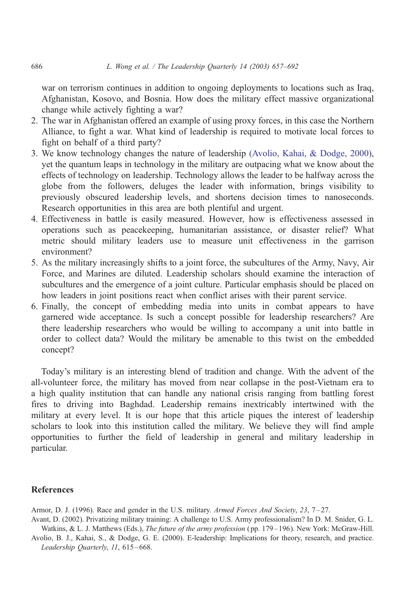war on terrorism continues in addition to ongoing deployments to locations such as Iraq, Afghanistan, Kosovo, and Bosnia. How does the military effect massive organizational change while actively fighting a war?

- 2. The war in Afghanistan offered an example of using proxy forces, in this case the Northern Alliance, to fight a war. What kind of leadership is required to motivate local forces to fight on behalf of a third party?
- 3. We know technology changes the nature of leadership (Avolio, Kahai, & Dodge, 2000), yet the quantum leaps in technology in the military are outpacing what we know about the effects of technology on leadership. Technology allows the leader to be halfway across the globe from the followers, deluges the leader with information, brings visibility to previously obscured leadership levels, and shortens decision times to nanoseconds. Research opportunities in this area are both plentiful and urgent.
- 4. Effectiveness in battle is easily measured. However, how is effectiveness assessed in operations such as peacekeeping, humanitarian assistance, or disaster relief? What metric should military leaders use to measure unit effectiveness in the garrison environment?
- 5. As the military increasingly shifts to a joint force, the subcultures of the Army, Navy, Air Force, and Marines are diluted. Leadership scholars should examine the interaction of subcultures and the emergence of a joint culture. Particular emphasis should be placed on how leaders in joint positions react when conflict arises with their parent service.
- 6. Finally, the concept of embedding media into units in combat appears to have garnered wide acceptance. Is such a concept possible for leadership researchers? Are there leadership researchers who would be willing to accompany a unit into battle in order to collect data? Would the military be amenable to this twist on the embedded concept?

Today's military is an interesting blend of tradition and change. With the advent of the all-volunteer force, the military has moved from near collapse in the post-Vietnam era to a high quality institution that can handle any national crisis ranging from battling forest fires to driving into Baghdad. Leadership remains inextricably intertwined with the military at every level. It is our hope that this article piques the interest of leadership scholars to look into this institution called the military. We believe they will find ample opportunities to further the field of leadership in general and military leadership in particular.

# References

Armor, D. J. (1996). Race and gender in the U.S. military. Armed Forces And Society, 23, 7–27.

Avant, D. (2002). Privatizing military training: A challenge to U.S. Army professionalism? In D. M. Snider, G. L. Watkins, & L. J. Matthews (Eds.), The future of the army profession (pp. 179-196). New York: McGraw-Hill.

Avolio, B. J., Kahai, S., & Dodge, G. E. (2000). E-leadership: Implications for theory, research, and practice. Leadership Quarterly, 11, 615-668.

<span id="page-30-0"></span>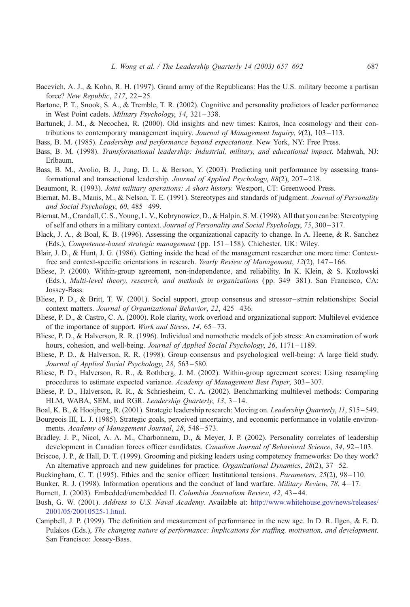- <span id="page-31-0"></span>Bacevich, A. J., & Kohn, R. H. (1997). Grand army of the Republicans: Has the U.S. military become a partisan force? New Republic, 217, 22-25.
- Bartone, P. T., Snook, S. A., & Tremble, T. R. (2002). Cognitive and personality predictors of leader performance in West Point cadets. *Military Psychology*, 14, 321–338.
- Bartunek, J. M., & Necochea, R. (2000). Old insights and new times: Kairos, Inca cosmology and their contributions to contemporary management inquiry. Journal of Management Inquiry, 9(2), 103-113.
- Bass, B. M. (1985). Leadership and performance beyond expectations. New York, NY: Free Press.
- Bass, B. M. (1998). Transformational leadership: Industrial, military, and educational impact. Mahwah, NJ: Erlbaum.
- Bass, B. M., Avolio, B. J., Jung, D. I., & Berson, Y. (2003). Predicting unit performance by assessing transformational and transactional leadership. Journal of Applied Psychology, 88(2), 207 – 218.
- Beaumont, R. (1993). Joint military operations: A short history. Westport, CT: Greenwood Press.
- Biernat, M. B., Manis, M., & Nelson, T. E. (1991). Stereotypes and standards of judgment. Journal of Personality and Social Psychology, 60, 485 – 499.
- Biernat, M., Crandall, C. S., Young, L. V., Kobrynowicz, D., & Halpin, S. M. (1998). All that you can be: Stereotyping of self and others in a military context. Journal of Personality and Social Psychology, 75, 300 – 317.
- Black, J. A., & Boal, K. B. (1996). Assessing the organizational capacity to change. In A. Heene, & R. Sanchez (Eds.), Competence-based strategic management (pp. 151-158). Chichester, UK: Wiley.
- Blair, J. D., & Hunt, J. G. (1986). Getting inside the head of the management researcher one more time: Contextfree and context-specific orientations in research. *Yearly Review of Management*, 12(2), 147–166.
- Bliese, P. (2000). Within-group agreement, non-independence, and reliability. In K. Klein, & S. Kozlowski (Eds.), Multi-level theory, research, and methods in organizations ( pp. 349 – 381). San Francisco, CA: Jossey-Bass.
- Bliese, P. D., & Britt, T. W. (2001). Social support, group consensus and stressor strain relationships: Social context matters. Journal of Organizational Behavior, 22, 425-436.
- Bliese, P. D., & Castro, C. A. (2000). Role clarity, work overload and organizational support: Multilevel evidence of the importance of support. Work and Stress, 14, 65–73.
- Bliese, P. D., & Halverson, R. R. (1996). Individual and nomothetic models of job stress: An examination of work hours, cohesion, and well-being. Journal of Applied Social Psychology, 26, 1171-1189.
- Bliese, P. D., & Halverson, R. R. (1998). Group consensus and psychological well-being: A large field study. Journal of Applied Social Psychology, 28, 563 – 580.
- Bliese, P. D., Halverson, R. R., & Rothberg, J. M. (2002). Within-group agreement scores: Using resampling procedures to estimate expected variance. Academy of Management Best Paper, 303–307.
- Bliese, P. D., Halverson, R. R., & Schriesheim, C. A. (2002). Benchmarking multilevel methods: Comparing HLM, WABA, SEM, and RGR. Leadership Quarterly, 13, 3-14.
- Boal, K. B., & Hooijberg, R. (2001). Strategic leadership research: Moving on. Leadership Quarterly, 11, 515–549.
- Bourgeois III, L. J. (1985). Strategic goals, perceived uncertainty, and economic performance in volatile environments. Academy of Management Journal, 28, 548-573.
- Bradley, J. P., Nicol, A. A. M., Charbonneau, D., & Meyer, J. P. (2002). Personality correlates of leadership development in Canadian forces officer candidates. Canadian Journal of Behavioral Science, 34, 92-103.
- Briscoe, J. P., & Hall, D. T. (1999). Grooming and picking leaders using competency frameworks: Do they work? An alternative approach and new guidelines for practice. Organizational Dynamics,  $28(2)$ ,  $37-52$ .
- Buckingham, C. T. (1995). Ethics and the senior officer: Institutional tensions. *Parameters*, 25(2), 98–110.
- Bunker, R. J. (1998). Information operations and the conduct of land warfare. Military Review, 78, 4–17.
- Burnett, J. (2003). Embedded/unembedded II. Columbia Journalism Review, 42, 43–44.
- Bush, G. W. (2001). Address to U.S. Naval Academy. Available at: [http://www.whitehouse.gov/news/releases/]( http:\\www.whitehouse.gov\news\releases\2001\05\20010525-1.html ) 2001/05/20010525-1.html.
- Campbell, J. P. (1999). The definition and measurement of performance in the new age. In D. R. Ilgen, & E. D. Pulakos (Eds.), The changing nature of performance: Implications for staffing, motivation, and development. San Francisco: Jossey-Bass.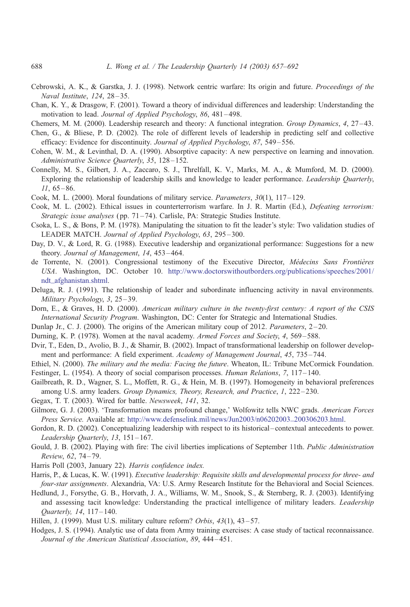- <span id="page-32-0"></span>Cebrowski, A. K., & Garstka, J. J. (1998). Network centric warfare: Its origin and future. Proceedings of the Naval Institute, 124, 28-35.
- Chan, K. Y., & Drasgow, F. (2001). Toward a theory of individual differences and leadership: Understanding the motivation to lead. Journal of Applied Psychology, 86, 481-498.

Chemers, M. M. (2000). Leadership research and theory: A functional integration. Group Dynamics, 4, 27–43.

- Chen, G., & Bliese, P. D. (2002). The role of different levels of leadership in predicting self and collective efficacy: Evidence for discontinuity. Journal of Applied Psychology, 87, 549-556.
- Cohen, W. M., & Levinthal, D. A. (1990). Absorptive capacity: A new perspective on learning and innovation. Administrative Science Quarterly, 35, 128-152.
- Connelly, M. S., Gilbert, J. A., Zaccaro, S. J., Threlfall, K. V., Marks, M. A., & Mumford, M. D. (2000). Exploring the relationship of leadership skills and knowledge to leader performance. Leadership Quarterly,  $11, 65 - 86.$
- Cook, M. L. (2000). Moral foundations of military service. Parameters, 30(1), 117 129.
- Cook, M. L. (2002). Ethical issues in counterterrorism warfare. In J. R. Martin (Ed.), Defeating terrorism: Strategic issue analyses (pp. 71–74). Carlisle, PA: Strategic Studies Institute.
- Csoka, L. S., & Bons, P. M. (1978). Manipulating the situation to fit the leader's style: Two validation studies of LEADER MATCH. Journal of Applied Psychology, 63, 295-300.
- Day, D. V., & Lord, R. G. (1988). Executive leadership and organizational performance: Suggestions for a new theory. Journal of Management, 14, 453-464.
- de Torrente, N. (2001). Congressional testimony of the Executive Director, Médecins Sans Frontières USA. Washington, DC. October 10. [http://www.doctorswithoutborders.org/publications/speeches/2001/]( http:\\www.doctorswithoutborders.org\publications\speeches\2001\ndt_afghanistan.shtml ) ndt\_afghanistan.shtml.
- Deluga, R. J. (1991). The relationship of leader and subordinate influencing activity in naval environments. Military Psychology, 3, 25–39.
- Dorn, E., & Graves, H. D. (2000). American military culture in the twenty-first century: A report of the CSIS International Security Program. Washington, DC: Center for Strategic and International Studies.
- Dunlap Jr., C. J. (2000). The origins of the American military coup of 2012. Parameters, 2-20.
- Durning, K. P. (1978). Women at the naval academy. Armed Forces and Society, 4, 569-588.
- Dvir, T., Eden, D., Avolio, B. J., & Shamir, B. (2002). Impact of transformational leadership on follower development and performance: A field experiment. Academy of Management Journal, 45, 735-744.
- Ethiel, N. (2000). The military and the media: Facing the future. Wheaton, IL: Tribune McCormick Foundation. Festinger, L. (1954). A theory of social comparison processes. Human Relations, 7, 117–140.
- Gailbreath, R. D., Wagner, S. L., Moffett, R. G., & Hein, M. B. (1997). Homogeneity in behavioral preferences among U.S. army leaders. Group Dynamics, Theory, Research, and Practice, 1, 222-230.
- Gegax, T. T. (2003). Wired for battle. Newsweek, 141, 32.
- Gilmore, G. J. (2003). 'Transformation means profound change,' Wolfowitz tells NWC grads. American Forces Press Service. Available at: [http://www.defenselink.mil/news/Jun2003/n06202003\\_200306203.html]( http:\\www.defenselink.mil\news\Jun2003\n06202003_200306203.html ).
- Gordon, R. D. (2002). Conceptualizing leadership with respect to its historical contextual antecedents to power. Leadership Quarterly, 13, 151-167.
- Gould, J. B. (2002). Playing with fire: The civil liberties implications of September 11th. Public Administration Review, 62, 74 – 79.

Harris Poll (2003, January 22). Harris confidence index.

- Harris, P., & Lucas, K. W. (1991). *Executive leadership: Requisite skills and developmental process for three- and* four-star assignments. Alexandria, VA: U.S. Army Research Institute for the Behavioral and Social Sciences.
- Hedlund, J., Forsythe, G. B., Horvath, J. A., Williams, W. M., Snook, S., & Sternberg, R. J. (2003). Identifying and assessing tacit knowledge: Understanding the practical intelligence of military leaders. Leadership Ouarterly, 14, 117-140.

Hillen, J. (1999). Must U.S. military culture reform? Orbis,  $43(1)$ ,  $43-57$ .

Hodges, J. S. (1994). Analytic use of data from Army training exercises: A case study of tactical reconnaissance. Journal of the American Statistical Association, 89, 444 – 451.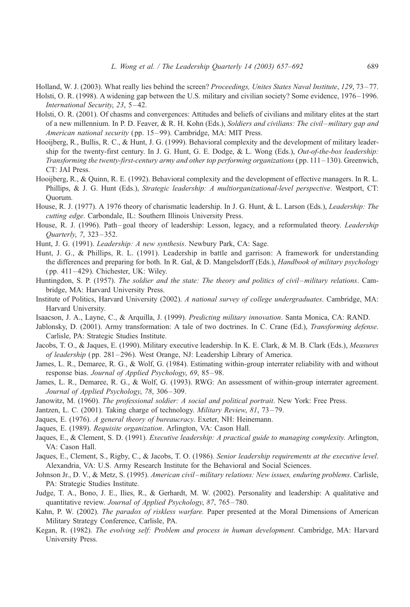<span id="page-33-0"></span>Holland, W. J. (2003). What really lies behind the screen? Proceedings, Unites States Naval Institute, 129, 73–77.

- Holsti, O. R. (1998). A widening gap between the U.S. military and civilian society? Some evidence, 1976–1996. International Security, 23, 5 – 42.
- Holsti, O. R. (2001). Of chasms and convergences: Attitudes and beliefs of civilians and military elites at the start of a new millennium. In P. D. Feaver, & R. H. Kohn (Eds.), Soldiers and civilians: The civil –military gap and American national security (pp. 15–99). Cambridge, MA: MIT Press.
- Hooijberg, R., Bullis, R. C., & Hunt, J. G. (1999). Behavioral complexity and the development of military leadership for the twenty-first century. In J. G. Hunt, G. E. Dodge, & L. Wong (Eds.), Out-of-the-box leadership: Transforming the twenty-first-century army and other top performing organizations ( pp. 111 – 130). Greenwich, CT: JAI Press.
- Hooijberg, R., & Quinn, R. E. (1992). Behavioral complexity and the development of effective managers. In R. L. Phillips, & J. G. Hunt (Eds.), Strategic leadership: A multiorganizational-level perspective. Westport, CT: Quorum.
- House, R. J. (1977). A 1976 theory of charismatic leadership. In J. G. Hunt, & L. Larson (Eds.), Leadership: The cutting edge. Carbondale, IL: Southern Illinois University Press.
- House, R. J. (1996). Path-goal theory of leadership: Lesson, legacy, and a reformulated theory. Leadership Quarterly, 7, 323 – 352.
- Hunt, J. G. (1991). Leadership: A new synthesis. Newbury Park, CA: Sage.
- Hunt, J. G., & Phillips, R. L. (1991). Leadership in battle and garrison: A framework for understanding the differences and preparing for both. In R. Gal, & D. Mangelsdorff (Eds.), Handbook of military psychology (pp. 411-429). Chichester, UK: Wiley.
- Huntingdon, S. P. (1957). The soldier and the state: The theory and politics of civil-military relations. Cambridge, MA: Harvard University Press.
- Institute of Politics, Harvard University (2002). A national survey of college undergraduates. Cambridge, MA: Harvard University.
- Isaacson, J. A., Layne, C., & Arquilla, J. (1999). Predicting military innovation. Santa Monica, CA: RAND.
- Jablonsky, D. (2001). Army transformation: A tale of two doctrines. In C. Crane (Ed.), *Transforming defense*. Carlisle, PA: Strategic Studies Institute.
- Jacobs, T. O., & Jaques, E. (1990). Military executive leadership. In K. E. Clark, & M. B. Clark (Eds.), Measures of leadership (pp. 281-296). West Orange, NJ: Leadership Library of America.
- James, L. R., Demaree, R. G., & Wolf, G. (1984). Estimating within-group interrater reliability with and without response bias. Journal of Applied Psychology, 69, 85–98.
- James, L. R., Demaree, R. G., & Wolf, G. (1993). RWG: An assessment of within-group interrater agreement. Journal of Applied Psychology, 78, 306–309.
- Janowitz, M. (1960). The professional soldier: A social and political portrait. New York: Free Press.
- Jantzen, L. C. (2001). Taking charge of technology. *Military Review*, 81, 73–79.
- Jaques, E. (1976). A general theory of bureaucracy. Exeter, NH: Heinemann.
- Jaques, E. (1989). Requisite organization. Arlington, VA: Cason Hall.
- Jaques, E., & Clement, S. D. (1991). Executive leadership: A practical guide to managing complexity. Arlington, VA: Cason Hall.
- Jaques, E., Clement, S., Rigby, C., & Jacobs, T. O. (1986). Senior leadership requirements at the executive level. Alexandria, VA: U.S. Army Research Institute for the Behavioral and Social Sciences.
- Johnson Jr., D. V., & Metz, S. (1995). American civil –military relations: New issues, enduring problems. Carlisle, PA: Strategic Studies Institute.
- Judge, T. A., Bono, J. E., Ilies, R., & Gerhardt, M. W. (2002). Personality and leadership: A qualitative and quantitative review. Journal of Applied Psychology, 87, 765 – 780.
- Kahn, P. W. (2002). The paradox of riskless warfare. Paper presented at the Moral Dimensions of American Military Strategy Conference, Carlisle, PA.
- Kegan, R. (1982). The evolving self: Problem and process in human development. Cambridge, MA: Harvard University Press.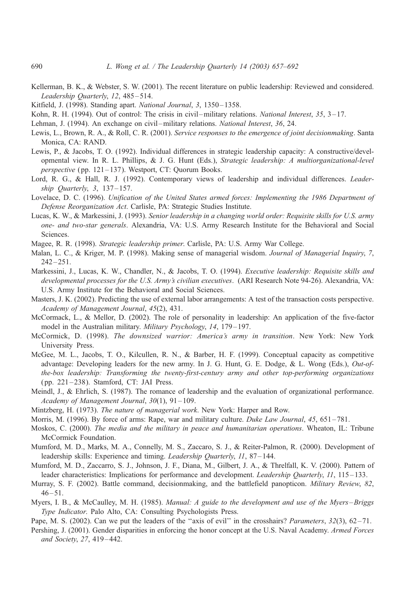- <span id="page-34-0"></span>Kellerman, B. K., & Webster, S. W. (2001). The recent literature on public leadership: Reviewed and considered. Leadership Quarterly, 12, 485-514.
- Kitfield, J. (1998). Standing apart. National Journal, 3, 1350-1358.
- Kohn, R. H. (1994). Out of control: The crisis in civil–military relations. National Interest, 35,  $3-17$ .
- Lehman, J. (1994). An exchange on civil-military relations. National Interest, 36, 24.
- Lewis, L., Brown, R. A., & Roll, C. R. (2001). Service responses to the emergence of joint decisionmaking. Santa Monica, CA: RAND.
- Lewis, P., & Jacobs, T. O. (1992). Individual differences in strategic leadership capacity: A constructive/developmental view. In R. L. Phillips, & J. G. Hunt (Eds.), Strategic leadership: A multiorganizational-level perspective ( pp. 121 – 137). Westport, CT: Quorum Books.
- Lord, R. G., & Hall, R. J. (1992). Contemporary views of leadership and individual differences. Leadership Quarterly, 3, 137–157.
- Lovelace, D. C. (1996). Unification of the United States armed forces: Implementing the 1986 Department of Defense Reorganization Act. Carlisle, PA: Strategic Studies Institute.
- Lucas, K. W., & Markessini, J. (1993). Senior leadership in a changing world order: Requisite skills for U.S. army one- and two-star generals. Alexandria, VA: U.S. Army Research Institute for the Behavioral and Social Sciences.
- Magee, R. R. (1998). Strategic leadership primer. Carlisle, PA: U.S. Army War College.
- Malan, L. C., & Kriger, M. P. (1998). Making sense of managerial wisdom. Journal of Managerial Inquiry, 7,  $242 - 251$ .
- Markessini, J., Lucas, K. W., Chandler, N., & Jacobs, T. O. (1994). Executive leadership: Requisite skills and developmental processes for the U.S. Army's civilian executives. (ARI Research Note 94-26). Alexandria, VA: U.S. Army Institute for the Behavioral and Social Sciences.
- Masters, J. K. (2002). Predicting the use of external labor arrangements: A test of the transaction costs perspective. Academy of Management Journal, 45(2), 431.
- McCormack, L., & Mellor, D. (2002). The role of personality in leadership: An application of the five-factor model in the Australian military. Military Psychology, 14, 179-197.
- McCormick, D. (1998). The downsized warrior: America's army in transition. New York: New York University Press.
- McGee, M. L., Jacobs, T. O., Kilcullen, R. N., & Barber, H. F. (1999). Conceptual capacity as competitive advantage: Developing leaders for the new army. In J. G. Hunt, G. E. Dodge, & L. Wong (Eds.), Out-ofthe-box leadership: Transforming the twenty-first-century army and other top-performing organizations ( pp. 221 – 238). Stamford, CT: JAI Press.
- Meindl, J., & Ehrlich, S. (1987). The romance of leadership and the evaluation of organizational performance. Academy of Management Journal, 30(1), 91-109.
- Mintzberg, H. (1973). The nature of managerial work. New York: Harper and Row.
- Morris, M. (1996). By force of arms: Rape, war and military culture. Duke Law Journal, 45, 651–781.
- Moskos, C. (2000). The media and the military in peace and humanitarian operations. Wheaton, IL: Tribune McCormick Foundation.
- Mumford, M. D., Marks, M. A., Connelly, M. S., Zaccaro, S. J., & Reiter-Palmon, R. (2000). Development of leadership skills: Experience and timing. Leadership Quarterly, 11, 87-144.
- Mumford, M. D., Zaccarro, S. J., Johnson, J. F., Diana, M., Gilbert, J. A., & Threlfall, K. V. (2000). Pattern of leader characteristics: Implications for performance and development. *Leadership Quarterly, 11*, 115–133.
- Murray, S. F. (2002). Battle command, decisionmaking, and the battlefield panopticon. Military Review, 82,  $46 - 51$ .
- Myers, I. B., & McCaulley, M. H. (1985). Manual: A guide to the development and use of the Myers-Briggs Type Indicator. Palo Alto, CA: Consulting Psychologists Press.
- Pape, M. S. (2002). Can we put the leaders of the "axis of evil" in the crosshairs? Parameters,  $32(3)$ ,  $62-71$ .
- Pershing, J. (2001). Gender disparities in enforcing the honor concept at the U.S. Naval Academy. Armed Forces and Society, 27, 419 – 442.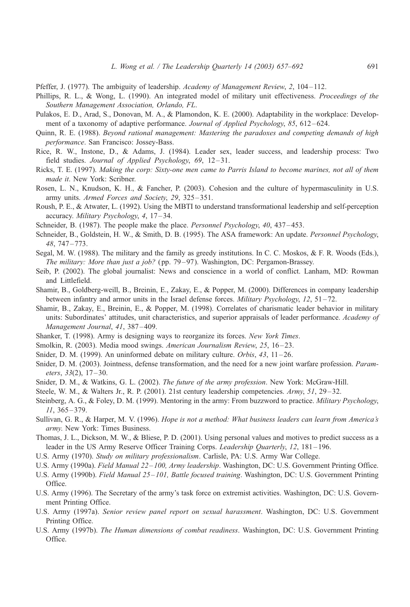- <span id="page-35-0"></span>Pfeffer, J. (1977). The ambiguity of leadership. Academy of Management Review, 2, 104–112.
- Phillips, R. L., & Wong, L. (1990). An integrated model of military unit effectiveness. Proceedings of the Southern Management Association, Orlando, FL.
- Pulakos, E. D., Arad, S., Donovan, M. A., & Plamondon, K. E. (2000). Adaptability in the workplace: Development of a taxonomy of adaptive performance. Journal of Applied Psychology, 85, 612–624.
- Quinn, R. E. (1988). Beyond rational management: Mastering the paradoxes and competing demands of high performance. San Francisco: Jossey-Bass.
- Rice, R. W., Instone, D., & Adams, J. (1984). Leader sex, leader success, and leadership process: Two field studies. Journal of Applied Psychology, 69, 12-31.
- Ricks, T. E. (1997). Making the corp: Sixty-one men came to Parris Island to become marines, not all of them made it. New York: Scribner.
- Rosen, L. N., Knudson, K. H., & Fancher, P. (2003). Cohesion and the culture of hypermasculinity in U.S. army units. Armed Forces and Society, 29, 325-351.
- Roush, P. E., & Atwater, L. (1992). Using the MBTI to understand transformational leadership and self-perception accuracy. Military Psychology, 4, 17-34.
- Schneider, B. (1987). The people make the place. Personnel Psychology, 40, 437–453.
- Schneider, B., Goldstein, H. W., & Smith, D. B. (1995). The ASA framework: An update. Personnel Psychology, 48, 747 – 773.
- Segal, M. W. (1988). The military and the family as greedy institutions. In C. C. Moskos, & F. R. Woods (Eds.), The military: More than just a job? (pp. 79–97). Washington, DC: Pergamon-Brassey.
- Seib, P. (2002). The global journalist: News and conscience in a world of conflict. Lanham, MD: Rowman and Littlefield.
- Shamir, B., Goldberg-weill, B., Breinin, E., Zakay, E., & Popper, M. (2000). Differences in company leadership between infantry and armor units in the Israel defense forces. *Military Psychology*,  $12$ ,  $51 - 72$ .
- Shamir, B., Zakay, E., Breinin, E., & Popper, M. (1998). Correlates of charismatic leader behavior in military units: Subordinates' attitudes, unit characteristics, and superior appraisals of leader performance. Academy of Management Journal, 41, 387-409.
- Shanker, T. (1998). Army is designing ways to reorganize its forces. New York Times.
- Smolkin, R. (2003). Media mood swings. American Journalism Review, 25, 16–23.
- Snider, D. M. (1999). An uninformed debate on military culture. Orbis,  $43$ ,  $11-26$ .
- Snider, D. M. (2003). Jointness, defense transformation, and the need for a new joint warfare profession. *Param* $eters, 33(2), 17-30.$
- Snider, D. M., & Watkins, G. L. (2002). The future of the army profession. New York: McGraw-Hill.
- Steele, W. M., & Walters Jr., R. P. (2001). 21st century leadership competencies. Army, 51, 29–32.
- Steinberg, A. G., & Foley, D. M. (1999). Mentoring in the army: From buzzword to practice. Military Psychology, 11, 365 – 379.
- Sullivan, G. R., & Harper, M. V. (1996). Hope is not a method: What business leaders can learn from America's army. New York: Times Business.
- Thomas, J. L., Dickson, M. W., & Bliese, P. D. (2001). Using personal values and motives to predict success as a leader in the US Army Reserve Officer Training Corps. Leadership Quarterly, 12, 181 – 196.
- U.S. Army (1970). Study on military professionalism. Carlisle, PA: U.S. Army War College.
- U.S. Army (1990a). Field Manual 22-100, Army leadership. Washington, DC: U.S. Government Printing Office.
- U.S. Army (1990b). Field Manual 25 101, Battle focused training. Washington, DC: U.S. Government Printing Office.
- U.S. Army (1996). The Secretary of the army's task force on extremist activities. Washington, DC: U.S. Government Printing Office.
- U.S. Army (1997a). Senior review panel report on sexual harassment. Washington, DC: U.S. Government Printing Office.
- U.S. Army (1997b). The Human dimensions of combat readiness. Washington, DC: U.S. Government Printing Office.